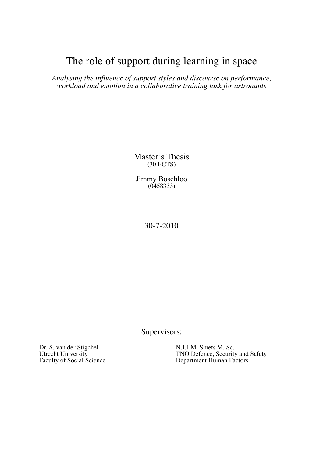# The role of support during learning in space

*Analysing the influence of support styles and discourse on performance, workload and emotion in a collaborative training task for astronauts*

> Master's Thesis (30 ECTS)

Jimmy Boschloo (0458333)

30-7-2010

Supervisors:

Dr. S. van der Stigchel N.J.J.M. Smets M. Sc.<br>Utrecht University TNO Defence, Security

Utrecht University<br>
Faculty of Social Science<br>
TNO Defence, Security and Safety<br>
Department Human Factors Department Human Factors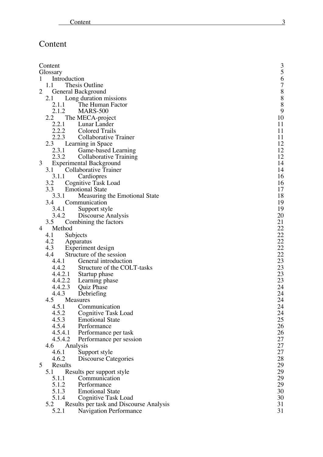# Content

|              | Content            |                                         | 3                                |
|--------------|--------------------|-----------------------------------------|----------------------------------|
|              | Glossary           |                                         | 5                                |
| $\mathbf{1}$ | Introduction       |                                         |                                  |
|              | 1.1                | Thesis Outline                          | 678889                           |
| 2            | General Background |                                         |                                  |
|              | 2.1                | Long duration missions                  |                                  |
|              | 2.1.1              | The Human Factor                        |                                  |
|              | 2.1.2              | <b>MARS-500</b>                         |                                  |
|              | 2.2                | The MECA-project                        | 10                               |
|              | 2.2.1              | Lunar Lander                            | 11                               |
|              | 2.2.2              | <b>Colored Trails</b>                   | 11                               |
|              | 2.2.3              | Collaborative Trainer                   | 11                               |
|              | 2.3                | Learning in Space                       | 12                               |
|              | 2.3.1              | Game-based Learning                     | 12                               |
|              | 2.3.2              | Collaborative Training                  | 12                               |
| 3            |                    | <b>Experimental Background</b>          | 14                               |
|              | 3.1                | Collaborative Trainer                   | 14                               |
|              | 3.1.1              | Cardiopres                              | 16                               |
|              |                    |                                         | 16                               |
|              | 3.2                | Cognitive Task Load                     |                                  |
|              | 3.3                | <b>Emotional State</b>                  | 17                               |
|              | 3.3.1              | Measuring the Emotional State           | 18                               |
|              | 3.4                | Communication                           | 19                               |
|              | 3.4.1              | Support style                           | 19                               |
|              | 3.4.2              | Discourse Analysis                      | 20                               |
|              | 3.5                | Combining the factors                   | 21                               |
| 4            | Method             |                                         |                                  |
|              | Subjects<br>4.1    |                                         |                                  |
|              | 4.2<br>Apparatus   |                                         | 22<br>22<br>22<br>22<br>22<br>23 |
|              | 4.3                | Experiment design                       |                                  |
|              | 4.4                | Structure of the session                |                                  |
|              | 4.4.1              | General introduction                    |                                  |
|              | 4.4.2              | Structure of the COLT-tasks             | 23                               |
|              | 4.4.2.1            | Startup phase                           | 23                               |
|              | 4.4.2.2            | Learning phase                          | 23                               |
|              | 4.4.2.3            | Quiz Phase                              | 24                               |
|              | 4.4.3              | Debriefing                              | 24                               |
|              | 4.5<br>Measures    |                                         | 24                               |
|              | 4.5.1              | Communication                           | 24                               |
|              | 4.5.2              | <b>Cognitive Task Load</b>              | 24                               |
|              | 4.5.3              | <b>Emotional State</b>                  | 25                               |
|              | 4.5.4              | Performance                             | 26                               |
|              | 4.5.4.1            | Performance per task                    | 26                               |
|              | 4.5.4.2            | Performance per session                 | 27                               |
|              | 4.6<br>Analysis    |                                         | 27                               |
|              | 4.6.1              | Support style                           | 27                               |
|              | 4.6.2              | Discourse Categories                    | 28                               |
| 5            | Results            |                                         | 29                               |
|              | 5.1                | Results per support style               | 29                               |
|              | 5.1.1              | Communication                           | 29                               |
|              | 5.1.2              | Performance                             | 29                               |
|              | 5.1.3              | <b>Emotional State</b>                  | 30                               |
|              | 5.1.4              | Cognitive Task Load                     | 30                               |
|              | 5.2                | Results per task and Discourse Analysis | 31                               |
|              | 5.2.1              | <b>Navigation Performance</b>           | 31                               |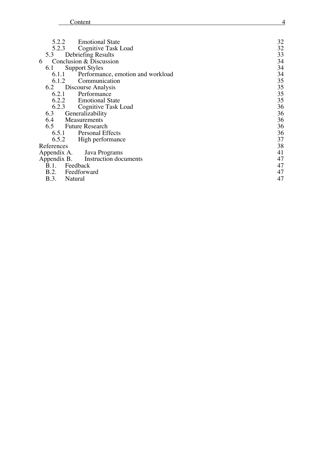| 5.2.2<br><b>Emotional State</b><br><b>Cognitive Task Load</b><br>5.2.3 | 32<br>32<br>33 |
|------------------------------------------------------------------------|----------------|
|                                                                        |                |
| Debriefing Results<br>5.3                                              |                |
| Conclusion & Discussion<br>6                                           | 34             |
| <b>Support Styles</b><br>6.1                                           | 34             |
|                                                                        |                |
| Performance, emotion and workload<br>6.1.1                             | 34             |
| Communication<br>6.1.2                                                 | 35             |
| Discourse Analysis<br>6.2                                              | 35             |
| Performance<br>6.2.1                                                   | 35             |
| 6.2.2<br><b>Emotional State</b>                                        | 35             |
| 6.2.3<br>Cognitive Task Load                                           | 36             |
| Generalizability<br>6.3                                                | 36             |
| 6.4<br>Measurements                                                    | 36             |
| 6.5 Future Research                                                    | 36             |
| 6.5.1<br><b>Personal Effects</b>                                       | 36             |
| High performance<br>6.5.2                                              | 37             |
| References                                                             | 38             |
| Appendix A.<br>Java Programs                                           | 41             |
| Appendix B.<br>Instruction documents                                   | 47             |
| B.1.<br>Feedback                                                       | 47             |
| B.2. Feedforward                                                       | 47             |
| <b>B.3.</b><br>Natural                                                 | 47             |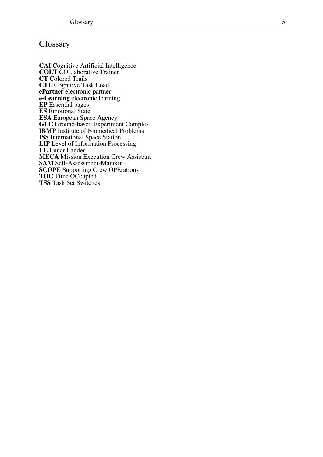# Glossary

**CAI** Cognitive Artificial Intelligence **COLT** COLlaborative Trainer **CT** Colored Trails **CTL** Cognitive Task Load<br>**ePartner** electronic partner **e-Learning** electronic learning **EP** Essential pages **ES** Emotional State **ES A** European Space Agency **GEC** Ground -based Experiment Complex **IBMP** Institute of Biomedical Problem s **IS S** International Space Station **LIP** Level of Information Processing **LL** Lunar Lander<br>**MECA** Mission Execution Crew Assistant **MECA** Mission Execution Crew Assistant **SAM** Self-Assessment-Manikin **SCOPE** Supporting Crew OPErations **TOC** Time OCcupied **TS S** Task Set Switches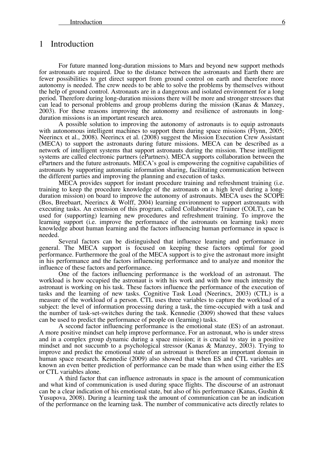### 1 Introduction

For future manned long-duration missions to Mars and beyond new support methods for astronauts are required. Due to the distance between the astronauts and Earth there are fewer possibilities to get direct support from ground control on earth and therefore more autonomy is needed. The crew needs to be able to solve the problems by themselves without the help of ground control. Astronauts are in a dangerous and isolated environment for a long period. Therefore during long-duration missions there will be more and stronger stressors that can lead to personal problems and group problems during the mission (Kanas & Manzey, 2003). For these reasons improving the autonomy and resilience of astronauts in longduration missions is an important research area.

A possible solution to improving the autonomy of astronauts is to equip astronauts with autonomous intelligent machines to support them during space missions (Flynn, 2005; Neerincx et al., 2008). Neerincx et al. (2008) suggest the Mission Execution Crew Assistant (MECA) to support the astronauts during future missions. MECA can be described as a network of intelligent systems that support astronauts during the mission. These intelligent systems are called electronic partners (ePartners). MECA supports collaboration between the ePartners and the future astronauts. MECA's goal is empowering the cognitive capabilities of astronauts by supporting automatic information sharing, facilitating communication between the different parties and improving the planning and execution of tasks.

MECA provides support for instant procedure training and refreshment training (i.e. training to keep the procedure knowledge of the astronauts on a high level during a longduration mission) on board to improve the autonomy of astronauts. MECA uses the SCOPE (Bos, Breebaart, Neerincx & Wolff, 2004) learning environment to support astronauts with executing tasks. An extension of this program, called Collaborative Trainer (COLT), can be used for (supporting) learning new procedures and refreshment training. To improve the learning support (i.e. improve the performance of the astronauts on learning task) more knowledge about human learning and the factors influencing human performance in space is needed.

Several factors can be distinguished that influence learning and performance in general. The MECA support is focused on keeping these factors optimal for good performance. Furthermore the goal of the MECA support is to give the astronaut more insight in his performance and the factors influencing performance and to analyze and monitor the influence of these factors and performance.

One of the factors influencing performance is the workload of an astronaut. The workload is how occupied the astronaut is with his work and with how much intensity the astronaut is working on his task. These factors influence the performance of the execution of tasks and the learning of new tasks. Cognitive Task Load (Neerincx, 2003) (CTL) is a measure of the workload of a person. CTL uses three variables to capture the workload of a subject: the level of information processing during a task, the time-occupied with a task and the number of task-set-switches during the task. Kennedie (2009) showed that these values can be used to predict the performance of people on (learning) tasks.

A second factor influencing performance is the emotional state (ES) of an astronaut. A more positive mindset can help improve performance. For an astronaut, who is under stress and in a complex group dynamic during a space mission; it is crucial to stay in a positive mindset and not succumb to a psychological stressor (Kanas & Manzey, 2003). Trying to improve and predict the emotional state of an astronaut is therefore an important domain in human space research. Kennedie (2009) also showed that when ES and CTL variables are known an even better prediction of performance can be made than when using either the ES or CTL variables alone.

A third factor that can influence astronauts in space is the amount of communication and what kind of communication is used during space flights. The discourse of an astronaut can be a clear indication of his emotional state, but also of his performance (Kanas, Gushin  $\&$ Yusupova, 2008). During a learning task the amount of communication can be an indication of the performance on the learning task. The number of communicative acts directly relates to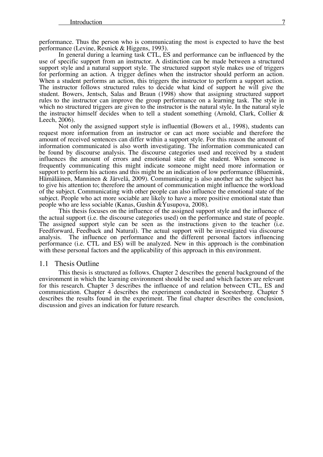performance. Thus the person who is communicating the most is expected to have the best performance (Levine, Resnick & Higgens, 1993). In general during a learning task CTL, ES and performance can be influenced by the

use of specific support from an instructor. A distinction can be made between a structured support style and a natural support style. The structured support style makes use of triggers for performing an action. A trigger defines when the instructor should perform an action. When a student performs an action, this triggers the instructor to perform a support action. The instructor follows structured rules to decide what kind of support he will give the student. Bowers, Jentsch, Salas and Braun (1998) show that assigning structured support rules to the instructor can improve the group performance on a learning task. The style in which no structured triggers are given to the instructor is the natural style. In the natural style the instructor himself decides when to tell a student something (Arnold, Clark, Collier & Leech, 2006).

Not only the assigned support style is influential (Bowers et al., 1998), students can request more information from an instructor or can act more sociable and therefore the amount of received sentences can differ within a support style. For this reason the amount of information communicated is also worth investigating. The information communicated can be found by discourse analysis. The discourse categories used and received by a student influences the amount of errors and emotional state of the student. When someone is frequently communicating this might indicate someone might need more information or support to perform his actions and this might be an indication of low performance (Bluemink, Hämäläinen, Manninen & Järvelä, 2009). Communicating is also another act the subject has to give his attention to; therefore the amount of communication might influence the workload of the subject. Communicating with other people can also influence the emotional state of the subject. People who act more sociable are likely to have a more positive emotional state than people who are less sociable (Kanas, Gushin &Yusupova, 2008).

This thesis focuses on the influence of the assigned support style and the influence of the actual support (i.e. the discourse categories used) on the performance and state of people. The assigned support style can be seen as the instructions given to the teacher (i.e. Feedforward, Feedback and Natural). The actual support will be investigated via discourse analysis. The influence on performance and the different personal factors influencing performance (i.e. CTL and ES) will be analyzed. New in this approach is the combination with these personal factors and the applicability of this approach in this environment.

### 1.1 Thesis Outline

This thesis is structured as follows. Chapter 2 describes the general background of the environment in which the learning environment should be used and which factors are relevant for this research. Chapter 3 describes the influence of and relation between CTL, ES and communication. Chapter 4 describes the experiment conducted in Soesterberg. Chapter 5 describes the results found in the experiment. The final chapter describes the conclusion, discussion and gives an indication for future research.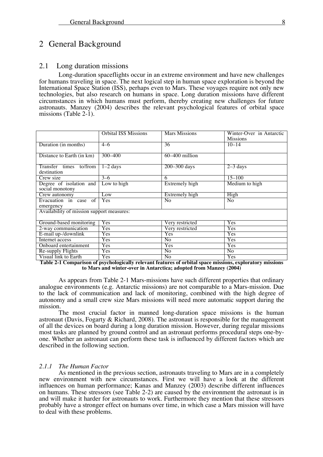# 2 General Background

### 2.1 Long duration missions

Long-duration spaceflights occur in an extreme environment and have new challenges for humans traveling in space. The next logical step in human space exploration is beyond the International Space Station (ISS), perhaps even to Mars. These voyages require not only new technologies, but also research on humans in space. Long duration missions have different circumstances in which humans must perform, thereby creating new challenges for future astronauts. Manzey (2004) describes the relevant psychological features of orbital space missions (Table 2-1).

|                                            | <b>Orbital ISS Missions</b> | Mars Missions   | Winter-Over in Antarctic<br><b>Missions</b> |
|--------------------------------------------|-----------------------------|-----------------|---------------------------------------------|
| Duration (in months)                       | $4 - 6$                     | 36              | $10 - 14$                                   |
| Distance to Earth (in km)                  | $300 - 400$                 | 60-400 million  |                                             |
| Transfer times to/from<br>destination      | $1-2$ days                  | 200-300 days    | $2-3$ days                                  |
| Crew size                                  | $3 - 6$                     | 6               | $15 - 100$                                  |
| Degree of isolation and<br>social monotony | Low to high                 | Extremely high  | Medium to high                              |
| Crew autonomy                              | Low                         | Extremely high  | High                                        |
| Evacuation in case of<br>emergency         | Yes                         | N <sub>0</sub>  | N <sub>0</sub>                              |
| Availability of mission support measures:  |                             |                 |                                             |
| Ground-based monitoring                    | Yes                         | Very restricted | Yes                                         |
| 2-way communication                        | Yes                         | Very restricted | Yes                                         |
| E-mail up-/downlink                        | Yes                         | Yes             | Yes                                         |
| Internet access                            | <b>Yes</b>                  | N <sub>0</sub>  | Yes                                         |
| Onboard entertainment                      | <b>Yes</b>                  | Yes             | Yes                                         |
| Re-supply Flights                          | Yes                         | N <sub>o</sub>  | N <sub>o</sub>                              |
| Visual link to Earth                       | Yes                         | N <sub>0</sub>  | Yes                                         |

**Table 2-1 Comparison of psychologically relevant features of orbital space missions, exploratory missions to Mars and winter-over in Antarctica; adopted from Manzey (2004)**

As appears from Table 2-1 Mars-missions have such different properties that ordinary analogue environments (e.g. Antarctic missions) are not comparable to a Mars-mission. Due to the lack of communication and lack of monitoring, combined with the high degree of autonomy and a small crew size Mars missions will need more automatic support during the mission.

The most crucial factor in manned long-duration space missions is the human astronaut (Davis, Fogarty & Richard, 2008). The astronaut is responsible for the management of all the devices on board during a long duration mission. However, during regular missions most tasks are planned by ground control and an astronaut performs procedural steps one-byone. Whether an astronaut can perform these task is influenced by different factors which are described in the following section.

### *2.1.1 The Human Factor*

As mentioned in the previous section, astronauts traveling to Mars are in a completely new environment with new circumstances. First we will have a look at the different influences on human performance; Kanas and Manzey (2003) describe different influences on humans. These stressors (see Table 2-2) are caused by the environment the astronaut is in and will make it harder for astronauts to work. Furthermore they mention that these stressors probably have a stronger effect on humans over time, in which case a Mars mission will have to deal with these problems.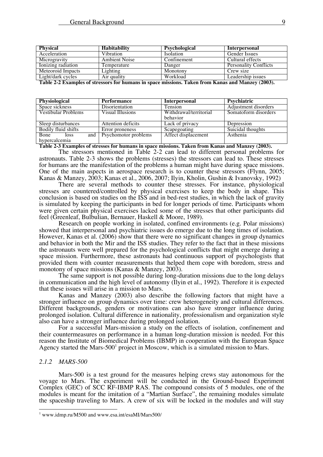| <b>Physical</b>    | <b>Habitability</b>  | Psychological    | Interpersonal                |
|--------------------|----------------------|------------------|------------------------------|
| Acceleration       | Vibration            | <i>Isolation</i> | <b>Gender Issues</b>         |
| Microgravity       | <b>Ambient Noise</b> | Confinement      | Cultural effects             |
| Ionizing radiation | Temperature          | Danger           | <b>Personality Conflicts</b> |
| Meteoroid Impacts  | Lighting             | Monotony         | Crew size                    |
| Light/dark cycles  | Air quality          | Workload         | Leadership issues            |

**Table 2-2 Examples of stressors for humans in space missions. Taken from Kanas and Manzey (2003).**

| <b>Physiological</b>              | Performance          | <b>Interpersonal</b>   | Psychiatric          |
|-----------------------------------|----------------------|------------------------|----------------------|
| Space sickness                    | Disorientation       | Tension                | Adjustment disorders |
| Vestibular Problems               | Visual Illusions     | Withdrawal/territorial | Somatoform disorders |
|                                   |                      | behavior               |                      |
| Sleep disturbances                | Attention deficits   | Lack of privacy        | Depression           |
| Bodily fluid shifts               | Error proneness      | Scapegoating           | Suicidal thoughts    |
| <b>Bone</b><br><b>loss</b><br>and | Psychomotor problems | Affect displacement    | Asthenia             |
| hypercalcemia                     |                      |                        |                      |

**Table 2-3 Examples of stresses for humans in space missions. Taken from Kanas and Manzey (2003).**

The stressors mentioned in Table 2-2 can lead to different personal problems for astronauts. Table 2-3 shows the problems (stresses) the stressors can lead to. These stresses for humans are the manifestation of the problems a human might have during space missions. One of the main aspects in aerospace research is to counter these stressors (Flynn, 2005; Kanas & Manzey, 2003; Kanas et al., 2006, 2007; Ilyin, Kholin, Gushin & Ivanovsky, 1992)

There are several methods to counter these stresses. For instance, physiological stresses are countered/controlled by physical exercises to keep the body in shape. This conclusion is based on studies on the ISS and in bed-rest studies, in which the lack of gravity is simulated by keeping the participants in bed for longer periods of time. Participants whom were given certain physical exercises lacked some of the stresses that other participants did feel (Greenleaf, Bulbulian, Bernauer, Haskell & Moore, 1989).

Research on people working in isolated, confined environments (e.g. Polar missions) showed that interpersonal and psychiatric issues do emerge due to the long times of isolation. However, Kanas et al. (2006) show that there were no significant changes in group dynamics and behavior in both the Mir and the ISS studies. They refer to the fact that in these missions the astronauts were well prepared for the psychological conflicts that might emerge during a space mission. Furthermore, these astronauts had continuous support of psychologists that provided them with counter measurements that helped them cope with boredom, stress and monotony of space missions (Kanas & Manzey, 2003).

The same support is not possible during long-duration missions due to the long delays in communication and the high level of autonomy (Ilyin et al., 1992). Therefore it is expected that these issues will arise in a mission to Mars.

Kanas and Manzey (2003) also describe the following factors that might have a stronger influence on group dynamics over time: crew heterogeneity and cultural differences. Different backgrounds, genders or motivations can also have stronger influence during prolonged isolation. Cultural difference in nationality, professionalism and organization style also can have a stronger influence during prolonged isolation. For a successful Mars-mission a study on the effects of isolation, confinement and

their countermeasures on performance in a human long-duration mission is needed. For this reason the Institute of Biomedical Problems (IBMP) in cooperation with the European Space Agency started the Mars-500<sup>1</sup> project in Moscow, which is a simulated mission to Mars.

#### *2.1.2 MARS-500*

Mars-500 is a test ground for the measures helping crews stay autonomous for the voyage to Mars. The experiment will be conducted in the Ground-based Experiment Complex (GEC) of SCC RF-IBMP RAS. The compound consists of 5 modules, one of the modules is meant for the imitation of a "Martian Surface", the remaining modules simulate the spaceship traveling to Mars. A crew of six will be locked in the modules and will stay

 <sup>1</sup> www.idmp.ru/M500 and www.esa.int/esaMI/Mars500/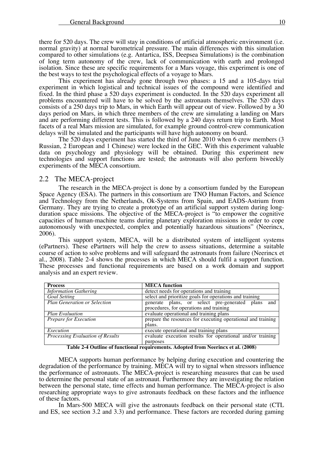there for 520 days. The crew will stay in conditions of artificial atmospheric environment (i.e. normal gravity) at normal barometrical pressure. The main differences with this simulation compared to other simulations (e.g. Antartica, ISS, Deepsea Simulations) is the combination of long term autonomy of the crew, lack of communication with earth and prolonged isolation. Since these are specific requirements for a Mars voyage, this experiment is one of the best ways to test the psychological effects of a voyage to Mars.

This experiment has already gone through two phases: a 15 and a 105-days trial experiment in which logistical and technical issues of the compound were identified and fixed. In the third phase a 520 days experiment is conducted. In the 520 days experiment all problems encountered will have to be solved by the astronauts themselves. The 520 days consists of a 250 days trip to Mars, in which Earth will appear out of view. Followed by a 30 days period on Mars, in which three members of the crew are simulating a landing on Mars and are performing different tests. This is followed by a 240 days return trip to Earth. Most facets of a real Mars mission are simulated, for example ground control-crew communication delays will be simulated and the participants will have high autonomy on board.

The 520 days experiment has started the third of June 2010 when 6 crew members (3 Russian, 2 European and 1 Chinese) were locked in the GEC. With this experiment valuable data on psychology and physiology will be obtained. During this experiment new technologies and support functions are tested; the astronauts will also perform biweekly experiments of the MECA consortium.

#### 2.2 The MECA-project

The research in the MECA-project is done by a consortium funded by the European Space Agency (ESA). The partners in this consortium are TNO Human Factors, and Science and Technology from the Netherlands, Ok-Systems from Spain, and EADS-Astrium from Germany. They are trying to create a prototype of an artificial support system during longduration space missions. The objective of the MECA-project is "to empower the cognitive capacities of human-machine teams during planetary exploration missions in order to cope autonomously with unexpected, complex and potentially hazardous situations" (Neerincx, 2006).

This support system, MECA, will be a distributed system of intelligent systems (ePartners). These ePartners will help the crew to assess situations, determine a suitable course of action to solve problems and will safeguard the astronauts from failure (Neerincx et al., 2008). Table 2-4 shows the processes in which MECA should fulfil a support function. These processes and functional requirements are based on a work domain and support analysis and an expert review.

| <b>Process</b>                                                                                        | <b>MECA</b> function                                         |  |
|-------------------------------------------------------------------------------------------------------|--------------------------------------------------------------|--|
| <b>Information Gathering</b>                                                                          | detect needs for operations and training                     |  |
| <b>Goal Setting</b>                                                                                   | select and prioritize goals for operations and training      |  |
| <b>Plan Generation or Selection</b>                                                                   | generate plans, or select pre-generated plans<br>and         |  |
|                                                                                                       | procedures, for operations and training                      |  |
| evaluate operational and training plans<br><b>Plan Evaluation</b>                                     |                                                              |  |
| <b>Prepare for Execution</b>                                                                          | prepare the resources for executing operational and training |  |
|                                                                                                       | plans.                                                       |  |
| Execution                                                                                             | execute operational and training plans                       |  |
| evaluate execution results for operational and/or training<br><b>Processing Evaluation of Results</b> |                                                              |  |
|                                                                                                       | purposes                                                     |  |

**Table 2-4 Outline of functional requirements. Adopted from Neerincx et al. (2008)**

MECA supports human performance by helping during execution and countering the degradation of the performance by training. MECA will try to signal when stressors influence the performance of astronauts. The MECA-project is researching measures that can be used to determine the personal state of an astronaut. Furthermore they are investigating the relation between the personal state, time effects and human performance. The MECA-project is also researching appropriate ways to give astronauts feedback on these factors and the influence of these factors.

In Mars-500 MECA will give the astronauts feedback on their personal state (CTL and ES, see section 3.2 and 3.3) and performance. These factors are recorded during gaming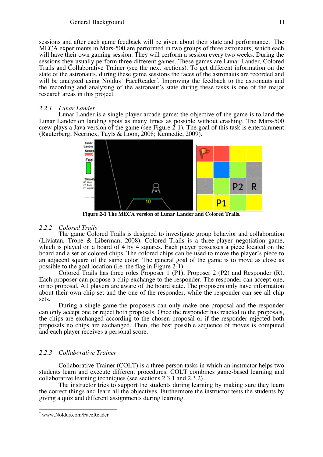sessions and after each game feedback will be given about their state and performance. The MECA experiments in Mars-500 are performed in two groups of three astronauts, which each will have their own gaming session. They will perform a session every two weeks. During the sessions they usually perform three different games. These games are Lunar Lander, Colored Trails and Collaborative Trainer (see the next sections). To get different information on the state of the astronauts, during these game sessions the faces of the astronauts are recorded and will be analyzed using Noldus' FaceReader<sup>2</sup>. Improving the feedback to the astronauts and the recording and analyzing of the astronaut's state during these tasks is one of the major research areas in this project.

#### *2.2.1 Lunar Lander*

Lunar Lander is a single player arcade game; the objective of the game is to land the Lunar Lander on landing spots as many times as possible without crashing. The Mars-500 crew plays a Java version of the game (see Figure 2-1). The goal of this task is entertainment (Rauterberg, Neerincx, Tuyls & Loon, 2008; Kennedie, 2009).



**Figure 2-1 The MECA version of Lunar Lander and Colored Trails.**

#### *2.2.2 Colored Trails*

The game Colored Trails is designed to investigate group behavior and collaboration (Liviatan, Trope & Liberman, 2008). Colored Trails is a three-player negotiation game, which is played on a board of 4 by 4 squares. Each player possesses a piece located on the board and a set of colored chips. The colored chips can be used to move the player's piece to an adjacent square of the same color. The general goal of the game is to move as close as possible to the goal location (i.e. the flag in Figure 2-1).

Colored Trails has three roles Proposer 1 (P1), Proposer 2 (P2) and Responder (R). Each proposer can propose a chip exchange to the responder. The responder can accept one, or no proposal. All players are aware of the board state. The proposers only have information about their own chip set and the one of the responder, while the responder can see all chip sets.

During a single game the proposers can only make one proposal and the responder can only accept one or reject both proposals. Once the responder has reacted to the proposals, the chips are exchanged according to the chosen proposal or if the responder rejected both proposals no chips are exchanged. Then, the best possible sequence of moves is computed and each player receives a personal score.

### *2.2.3 Collaborative Trainer*

Collaborative Trainer (COLT) is a three person tasks in which an instructor helps two students learn and execute different procedures. COLT combines game-based learning and collaborative learning techniques (see sections 2.3.1 and 2.3.2).

The instructor tries to support the students during learning by making sure they learn the correct things and learn all the objectives. Furthermore the instructor tests the students by giving a quiz and different assignments during learning.

 <sup>2</sup> www.Noldus.com/FaceReader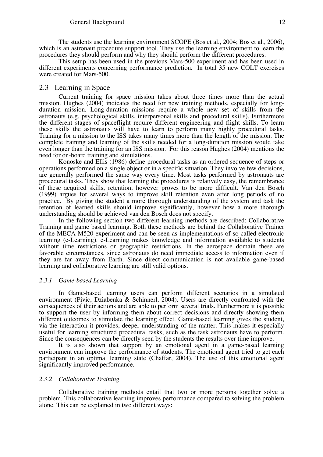The students use the learning environment SCOPE (Bos et al., 2004; Bos et al., 2006), which is an astronaut procedure support tool. They use the learning environment to learn the procedures they should perform and why they should perform the different procedures.

This setup has been used in the previous Mars-500 experiment and has been used in different experiments concerning performance prediction. In total 35 new COLT exercises were created for Mars-500.

### 2.3 Learning in Space

Current training for space mission takes about three times more than the actual mission. Hughes (2004) indicates the need for new training methods, especially for longduration mission. Long-duration missions require a whole new set of skills from the astronauts (e.g. psychological skills, interpersonal skills and procedural skills). Furthermore the different stages of spaceflight require different engineering and flight skills. To learn these skills the astronauts will have to learn to perform many highly procedural tasks. Training for a mission to the ISS takes many times more than the length of the mission. The complete training and learning of the skills needed for a long-duration mission would take even longer than the training for an ISS mission. For this reason Hughes (2004) mentions the need for on-board training and simulations.

Konoske and Ellis (1986) define procedural tasks as an ordered sequence of steps or operations performed on a single object or in a specific situation. They involve few decisions, are generally performed the same way every time. Most tasks performed by astronauts are procedural tasks. They show that learning the procedures is relatively easy, the remembrance of these acquired skills, retention, however proves to be more difficult. Van den Bosch (1999) argues for several ways to improve skill retention even after long periods of no practice. By giving the student a more thorough understanding of the system and task the retention of learned skills should improve significantly, however how a more thorough understanding should be achieved van den Bosch does not specify.

In the following section two different learning methods are described: Collaborative Training and game based learning. Both these methods are behind the Collaborative Trainer of the MECA M520 experiment and can be seen as implementations of so called electronic learning (e-Learning). e-Learning makes knowledge and information available to students without time restrictions or geographic restrictions. In the aerospace domain these are favorable circumstances, since astronauts do need immediate access to information even if they are far away from Earth. Since direct communication is not available game-based learning and collaborative learning are still valid options.

### *2.3.1 Game-based Learning*

In Game-based learning users can perform different scenarios in a simulated environment (Pivic, Dziabenka  $\&$  Schinnerl, 2004). Users are directly confronted with the consequences of their actions and are able to perform several trials. Furthermore it is possible to support the user by informing them about correct decisions and directly showing them different outcomes to stimulate the learning effect. Game-based learning gives the student, via the interaction it provides, deeper understanding of the matter. This makes it especially Since the consequences can be directly seen by the students the results over time improve.

It is also shown that support by an emotional agent in a game-based learning environment can improve the performance of students. The emotional agent tried to get each participant in an optimal learning state (Chaffar, 2004). The use of this emotional agent significantly improved performance.

#### *2.3.2 Collaborative Training*

Collaborative training methods entail that two or more persons together solve a problem. This collaborative learning improves performance compared to solving the problem alone. This can be explained in two different ways: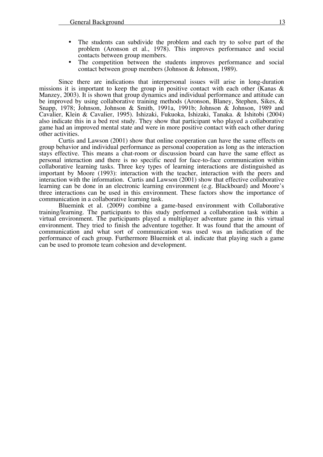- The students can subdivide the problem and each try to solve part of the problem (Aronson et al., 1978). This improves performance and social contacts between group members.
- The competition between the students improves performance and social contact between group members (Johnson & Johnson, 1989).

Since there are indications that interpersonal issues will arise in long-duration missions it is important to keep the group in positive contact with each other (Kanas & Manzey, 2003). It is shown that group dynamics and individual performance and attitude can be improved by using collaborative training methods (Aronson, Blaney, Stephen, Sikes, & Snapp, 1978; Johnson, Johnson & Smith, 1991a, 1991b; Johnson & Johnson, 1989 and Cavalier, Klein & Cavalier, 1995). Ishizaki, Fukuoka, Ishizaki, Tanaka. & Ishitobi (2004) also indicate this in a bed rest study. They show that participant who played a collaborative game had an improved mental state and were in more positive contact with each other during other activities.

Curtis and Lawson (2001) show that online cooperation can have the same effects on group behavior and individual performance as personal cooperation as long as the interaction stays effective. This means a chat-room or discussion board can have the same effect as personal interaction and there is no specific need for face-to-face communication within collaborative learning tasks. Three key types of learning interactions are distinguished as important by Moore (1993): interaction with the teacher, interaction with the peers and interaction with the information. Curtis and Lawson (2001) show that effective collaborative learning can be done in an electronic learning environment (e.g. Blackboard) and Moore's three interactions can be used in this environment. These factors show the importance of communication in a collaborative learning task.

Bluemink et al. (2009) combine a game-based environment with Collaborative training/learning. The participants to this study performed a collaboration task within a virtual environment. The participants played a multiplayer adventure game in this virtual environment. They tried to finish the adventure together. It was found that the amount of communication and what sort of communication was used was an indication of the performance of each group. Furthermore Bluemink et al. indicate that playing such a game can be used to promote team cohesion and development.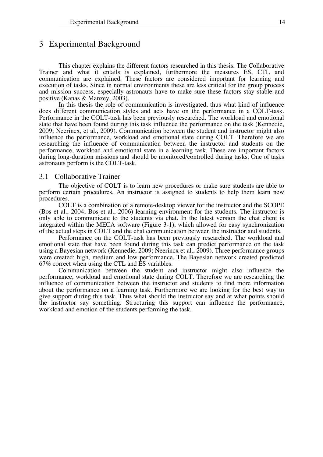# 3 Experimental Background

This chapter explains the different factors researched in this thesis. The Collaborative Trainer and what it entails is explained, furthermore the measures ES, CTL and communication are explained. These factors are considered important for learning and execution of tasks. Since in normal environments these are less critical for the group process and mission success, especially astronauts have to make sure these factors stay stable and positive (Kanas & Manzey, 2003).

In this thesis the role of communication is investigated, thus what kind of influence does different communication styles and acts have on the performance in a COLT-task. Performance in the COLT-task has been previously researched. The workload and emotional state that have been found during this task influence the performance on the task (Kennedie, 2009; Neerincx, et al., 2009). Communication between the student and instructor might also influence the performance, workload and emotional state during COLT. Therefore we are researching the influence of communication between the instructor and students on the performance, workload and emotional state in a learning task. These are important factors during long-duration missions and should be monitored/controlled during tasks. One of tasks astronauts perform is the COLT-task.

### 3.1 Collaborative Trainer

The objective of COLT is to learn new procedures or make sure students are able to perform certain procedures. An instructor is assigned to students to help them learn new procedures.

COLT is a combination of a remote-desktop viewer for the instructor and the SCOPE (Bos et al., 2004; Bos et al., 2006) learning environment for the students. The instructor is only able to communicate to the students via chat. In the latest version the chat client is integrated within the MECA software (Figure 3-1), which allowed for easy synchronization of the actual steps in COLT and the chat communication between the instructor and students.

Performance on the COLT-task has been previously researched. The workload and emotional state that have been found during this task can predict performance on the task using a Bayesian network (Kennedie, 2009; Neerincx et al., 2009). Three performance groups were created: high, medium and low performance. The Bayesian network created predicted 67% correct when using the CTL and ES variables.

 $Commonization$  between the student and instructor might also influence the performance, workload and emotional state during COLT. Therefore we are researching the influence of communication between the instructor and students to find more information about the performance on a learning task. Furthermore we are looking for the best way to give support during this task. Thus what should the instructor say and at what points should the instructor say something. Structuring this support can influence the performance, workload and emotion of the students performing the task.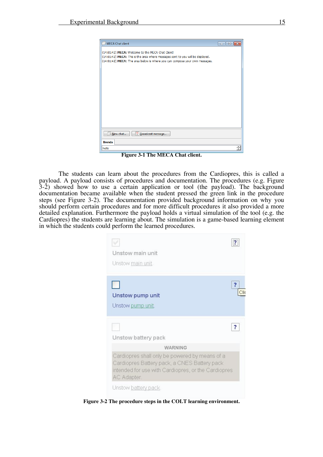

**Figure 3-1 The MECA Chat client.**

The students can learn about the procedures from the Cardiopres, this is called a payload. A payload consists of procedures and documentation. The procedures (e.g. Figure 3-2) showed how to use a certain application or tool (the payload). The background documentation became available when the student pressed the green link in the procedure steps (see Figure 3-2). The documentation provided background information on why you should perform certain procedures and for more difficult procedures it also provided a more detailed explanation. Furthermore the payload holds a virtual simulation of the tool (e.g. the Cardiopres) the students are learning about. The simulation is a game-based learning element in which the students could perform the learned procedures.

| Unstow main unit                                                                                                                                                     |  |
|----------------------------------------------------------------------------------------------------------------------------------------------------------------------|--|
| Unstow main unit.                                                                                                                                                    |  |
|                                                                                                                                                                      |  |
| Unstow pump unit                                                                                                                                                     |  |
| Unstow pump unit.                                                                                                                                                    |  |
|                                                                                                                                                                      |  |
| Unstow battery pack                                                                                                                                                  |  |
| <b><i>WARNING</i></b>                                                                                                                                                |  |
| Cardiopres shall only be powered by means of a<br>Cardiopres Battery pack, a CNES Battery pack<br>intended for use with Cardiopres, or the Cardiopres<br>AC Adapter. |  |
| Unstow battery pack.                                                                                                                                                 |  |

**Figure 3-2 The procedure steps in the COLT learning environment.**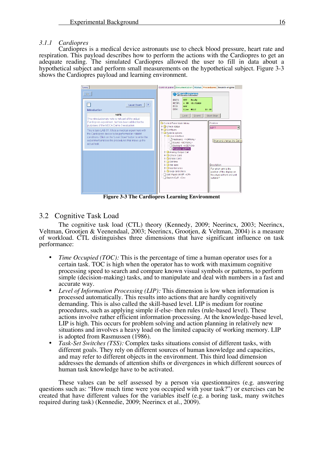#### *3.1.1 Cardiopres*

Cardiopres is a medical device astronauts use to check blood pressure, heart rate and respiration. This payload describes how to perform the actions with the Cardiopres to get an adequate reading. The simulated Cardiopres allowed the user to fill in data about a hypothetical subject and perform small measurements on the hypothetical subject. Figure 3-3 shows the Cardiopres payload and learning environment.



**Figure 3-3 The Cardiopres Learning Environment**

### 3.2 Cognitive Task Load

The cognitive task load (CTL) theory (Kennedy, 2009; Neerincx, 2003; Neerincx, Veltman, Grootjen & Veenendaal, 2003; Neerincx, Grootjen, & Veltman, 2004) is a measure of workload. CTL distinguishes three dimensions that have significant influence on task performance:

- *Time Occupied (TOC):* This is the percentage of time a human operator uses for a certain task. TOC is high when the operator has to work with maximum cognitive processing speed to search and compare known visual symbols or patterns, to perform simple (decision-making) tasks, and to manipulate and deal with numbers in a fast and accurate way.
- *Level of Information Processing (LIP)*: This dimension is low when information is processed automatically. This results into actions that are hardly cognitively demanding. This is also called the skill-based level. LIP is medium for routine procedures, such as applying simple if-else- then rules (rule-based level). These actions involve rather efficient information processing. At the knowledge-based level, LIP is high. This occurs for problem solving and action planning in relatively new situations and involves a heavy load on the limited capacity of working memory. LIP is adopted from Rasmussen (1986).
- *Task-Set Switches (TSS):* Complex tasks situations consist of different tasks, with different goals. They rely on different sources of human knowledge and capacities, and may refer to different objects in the environment. This third load dimension addresses the demands of attention shifts or divergences in which different sources of human task knowledge have to be activated.

These values can be self assessed by a person via questionnaires (e.g. answering questions such as: "How much time were you occupied with your task?") or exercises can be created that have different values for the variables itself (e.g. a boring task, many switches required during task) (Kennedie, 2009; Neerincx et al., 2009).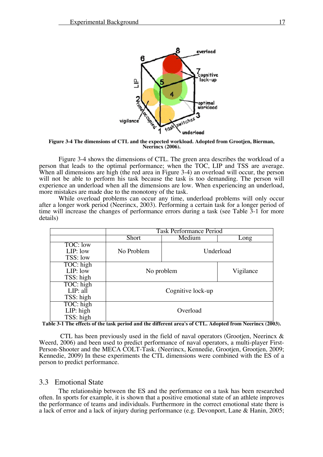

**Figure 3-4 The dimensions of CTL and the expected workload. Adopted from Grootjen, Bierman, Neerincx (2006).**

Figure 3-4 shows the dimensions of CTL. The green area describes the workload of a person that leads to the optimal performance; when the TOC, LIP and TSS are average. When all dimensions are high (the red area in Figure 3-4) an overload will occur, the person will not be able to perform his task because the task is too demanding. The person will experience an underload when all the dimensions are low. When experiencing an underload, more mistakes are made due to the monotony of the task.

While overload problems can occur any time, underload problems will only occur after a longer work period (Neerincx, 2003). Performing a certain task for a longer period of time will increase the changes of performance errors during a task (see Table 3-1 for more details)

|            | <b>Task Performance Period</b> |        |           |  |
|------------|--------------------------------|--------|-----------|--|
|            | Short                          | Medium | Long      |  |
| TOC: low   |                                |        |           |  |
| $LIP:$ low | No Problem                     |        | Underload |  |
| TSS: low   |                                |        |           |  |
| TOC: high  | No problem                     |        |           |  |
| LIP: low   |                                |        | Vigilance |  |
| TSS: high  |                                |        |           |  |
| TOC: high  |                                |        |           |  |
| LIP: all   | Cognitive lock-up              |        |           |  |
| TSS: high  |                                |        |           |  |
| TOC: high  |                                |        |           |  |
| LIP: high  | Overload<br>TSS: high          |        |           |  |
|            |                                |        |           |  |

. Table 3-1 The effects of the task period and the different area's of CTL. Adopted from Neerincx (2003)

CTL has been previously used in the field of naval operators (Grootien, Neerincx  $\&$ Weerd, 2006) and been used to predict performance of naval operators, a multi-player First-Person-Shooter and the MECA COLT-Task. (Neerincx, Kennedie, Grootjen, Grootjen, 2009; Kennedie, 2009) In these experiments the CTL dimensions were combined with the ES of a person to predict performance.

#### 3.3 Emotional State

The relationship between the ES and the performance on a task has been researched often. In sports for example, it is shown that a positive emotional state of an athlete improves the performance of teams and individuals. Furthermore in the correct emotional state there is a lack of error and a lack of injury during performance (e.g. Devonport, Lane & Hanin, 2005;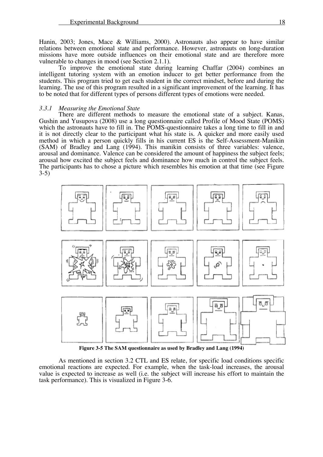Hanin, 2003; Jones, Mace & Williams, 2000). Astronauts also appear to have similar relations between emotional state and performance. However, astronauts on long-duration missions have more outside influences on their emotional state and are therefore more vulnerable to changes in mood (see Section 2.1.1). To improve the emotional state during learning Chaffar (2004) combines an

intelligent tutoring system with an emotion inducer to get better performance from the students. This program tried to get each student in the correct mindset, before and during the learning. The use of this program resulted in a significant improvement of the learning. It has to be noted that for different types of persons different types of emotions were needed.

#### *3.3.1 Measuring the Emotional State*

There are different methods to measure the emotional state of a subject. Kanas, Gushin and Yusupova (2008) use a long questionnaire called Profile of Mood State (POMS) which the astronauts have to fill in. The POMS-questionnaire takes a long time to fill in and it is not directly clear to the participant what his state is. A quicker and more easily used method in which a person quickly fills in his current ES is the Self-Assessment-Manikin (SAM) of Bradley and Lang (1994). This manikin consists of three variables: valence, arousal and dominance. Valence can be considered the amount of happiness the subject feels; arousal how excited the subject feels and dominance how much in control the subject feels. The participants has to chose a picture which resembles his emotion at that time (see Figure 3-5)



**Figure 3-5 The SAM questionnaire as used by Bradley and Lang (1994)**

As mentioned in section 3.2 CTL and ES relate, for specific load conditions specific emotional reactions are expected. For example, when the task-load increases, the arousal value is expected to increase as well (i.e. the subject will increase his effort to maintain the task performance). This is visualized in Figure 3-6.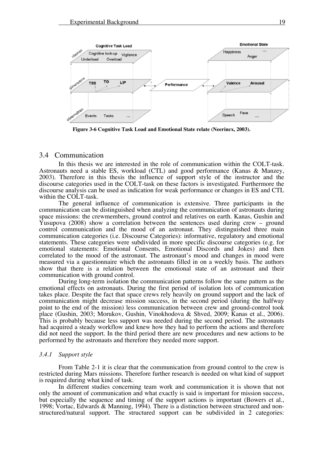

**Figure 3-6 Cognitive Task Load and Emotional State relate (Neerincx, 2003).**

### 3.4 Communication

In this thesis we are interested in the role of communication within the COLT-task. Astronauts need a stable ES, workload (CTL) and good performance (Kanas & Manzey, 2003). Therefore in this thesis the influence of support style of the instructor and the discourse categories used in the COLT-task on these factors is investigated. Furthermore the discourse analysis can be used as indication for weak performance or changes in ES and CTL within the COLT-task.

The general influence of communication is extensive. Three participants in the communication can be distinguished when analyzing the communication of astronauts during space missions: the crewmembers, ground control and relatives on earth. Kanas, Gushin and Yusupova (2008) show a correlation between the sentences used during crew – ground control communication and the mood of an astronaut. They distinguished three main communication categories (i.e. Discourse Categories): informative, regulatory and emotional statements. These categories were subdivided in more specific discourse categories (e.g. for emotional statements: Emotional Consents, Emotional Discords and Jokes) and then correlated to the mood of the astronaut. The astronaut's mood and changes in mood were measured via a questionnaire which the astronauts filled in on a weekly basis. The authors show that there is a relation between the emotional state of an astronaut and their communication with ground control.

During long-term isolation the communication patterns follow the same pattern as the emotional effects on astronauts. During the first period of isolation lots of communication takes place. Despite the fact that space crews rely heavily on ground support and the lack of communication might decrease mission success, in the second period (during the halfway point to the end of the mission) less communication between crew and ground-control took place (Gushin, 2003; Morukov, Gushin, Vinokhodova & Shved, 2009; Kanas et al., 2006). This is probably because less support was needed during the second period. The astronauts had acquired a steady workflow and knew how they had to perform the actions and therefore did not need the support. In the third period there are new procedures and new actions to be performed by the astronauts and therefore they needed more support.

#### *3.4.1 Support style*

From Table 2-1 it is clear that the communication from ground control to the crew is restricted during Mars missions. Therefore further research is needed on what kind of support is required during what kind of task.

In different studies concerning team work and communication it is shown that not only the amount of communication and what exactly is said is important for mission success, but especially the sequence and timing of the support actions is important (Bowers et al., 1998; Vortac, Edwards & Manning, 1994). There is a distinction between structured and nonstructured/natural support. The structured support can be subdivided in 2 categories: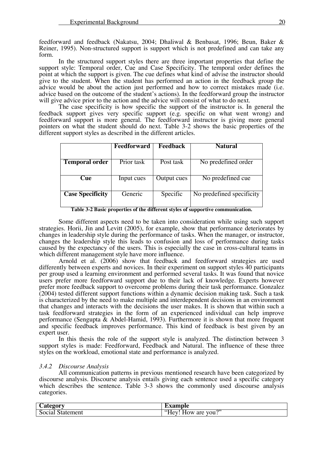feedforward and feedback (Nakatsu, 2004; Dhaliwal & Benbasat, 1996; Beun, Baker & Reiner, 1995). Non-structured support is support which is not predefined and can take any

form. In the structured support styles there are three important properties that define the support style: Temporal order, Cue and Case Specificity. The temporal order defines the point at which the support is given. The cue defines what kind of advise the instructor should give to the student. When the student has performed an action in the feedback group the advice would be about the action just performed and how to correct mistakes made (i.e. advice based on the outcome of the student's actions). In the feedforward group the instructor will give advice prior to the action and the advice will consist of what to do next.

The case specificity is how specific the support of the instructor is. In general the feedback support gives very specific support (e.g. specific on what went wrong) and feedforward support is more general. The feedforward instructor is giving more general pointers on what the student should do next. Table 3-2 shows the basic properties of the different support styles as described in the different articles.

|                         | <b>Feedforward</b> | <b>Feedback</b> | <b>Natural</b>            |
|-------------------------|--------------------|-----------------|---------------------------|
|                         |                    |                 |                           |
| <b>Temporal order</b>   | Prior task         | Post task       | No predefined order       |
|                         |                    |                 |                           |
| <b>Cue</b>              | Input cues         | Output cues     | No predefined cue         |
|                         |                    |                 |                           |
| <b>Case Specificity</b> | Generic            | Specific        | No predefined specificity |
|                         |                    |                 |                           |

**Table 3-2 Basic properties of the different styles of supportive communication.**

Some different aspects need to be taken into consideration while using such support strategies. Horii, Jin and Levitt (2005), for example, show that performance deteriorates by changes in leadership style during the performance of tasks. When the manager, or instructor, changes the leadership style this leads to confusion and loss of performance during tasks caused by the expectancy of the users. This is especially the case in cross-cultural teams in which different management style have more influence.

Arnold et al. (2006) show that feedback and feedforward strategies are used differently between experts and novices. In their experiment on support styles 40 participants per group used a learning environment and performed several tasks. It was found that novice users prefer more feedforward support due to their lack of knowledge. Experts however prefer more feedback support to overcome problems during their task performance. Gonzalez (2004) tested different support functions within a dynamic decision making task. Such a task is characterized by the need to make multiple and interdependent decisions in an environment that changes and interacts with the decisions the user makes. It is shown that within such a task feedforward strategies in the form of an experienced individual can help improve performance (Sengupta & Abdel-Hamid, 1993). Furthermore it is shown that more frequent and specific feedback improves performance. This kind of feedback is best given by an expert user.

In this thesis the role of the support style is analyzed. The distinction between 3 support styles is made: Feedforward, Feedback and Natural. The influence of these three styles on the workload, emotional state and performance is analyzed.

#### *3.4.2 Discourse Analysis*

All communication patterns in previous mentioned research have been categorized by discourse analysis. Discourse analysis entails giving each sentence used a specific category which describes the sentence. Table 3-3 shows the commonly used discourse analysis categories.

| $\mathcal{L}$ ategor $\mathbf{v}$    | Example                                   |
|--------------------------------------|-------------------------------------------|
| $\sim$<br>-<br>Social<br>' Statement | റാ<br>$"Y_{\rm PV}$<br>How<br>vou.<br>are |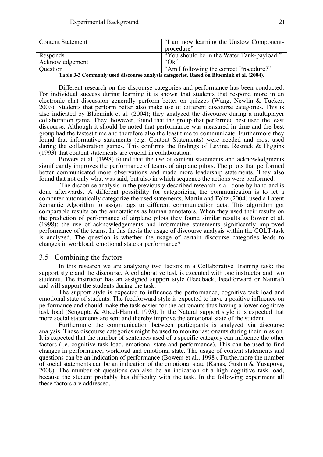| <b>Content Statement</b> | "I am now learning the Unstow Component-   |  |
|--------------------------|--------------------------------------------|--|
|                          | procedure"                                 |  |
| Responds                 | "You should be in the Water Tank-payload." |  |
| Acknowledgement          | $\Omega$ <sup>*</sup>                      |  |
| <b>Question</b>          | "Am I following the correct Procedure?"    |  |
|                          |                                            |  |

**Table 3-3 Commonly used discourse analysis categories. Based on Bluemink et al. (2004).**

Different research on the discourse categories and performance has been conducted. For individual success during learning it is shown that students that respond more in an electronic chat discussion generally perform better on quizzes (Wang, Newlin & Tucker, 2003). Students that perform better also make use of different discourse categories. This is also indicated by Bluemink et al. (2004); they analyzed the discourse during a multiplayer collaboration game. They, however, found that the group that performed best used the least discourse. Although it should be noted that performance was measured in time and the best group had the fastest time and therefore also the least time to communicate. Furthermore they found that informative statements (e.g. Content Statements) were needed and most used during the collaboration games. This confirms the findings of Levine, Resnick & Higgins (1993) that content statements are crucial in collaboration.

Bowers et al. (1998) found that the use of content statements and acknowledgments significantly improves the performance of teams of airplane pilots. The pilots that performed better communicated more observations and made more leadership statements. They also found that not only what was said, but also in which sequence the actions were performed.

 The discourse analysis in the previously described research is all done by hand and is done afterwards. A different possibility for categorizing the communication is to let a computer automatically categorize the used statements. Martin and Foltz (2004) used a Latent Semantic Algorithm to assign tags to different communication acts. This algorithm got comparable results on the annotations as human annotators. When they used their results on the prediction of performance of airplane pilots they found similar results as Bower et al. (1998); the use of acknowledgements and informative statements significantly improved performance of the teams. In this thesis the usage of discourse analysis within the COLT-task is analyzed. The question is whether the usage of certain discourse categories leads to changes in workload, emotional state or performance?

### 3.5 Combining the factors

In this research we are analyzing two factors in a Collaborative Training task: the support style and the discourse. A collaborative task is executed with one instructor and two students. The instructor has an assigned support style (Feedback, Feedforward or Natural) and will support the students during the task.

The support style is expected to influence the performance, cognitive task load and emotional state of students. The feedforward style is expected to have a positive influence on performance and should make the task easier for the astronauts thus having a lower cognitive task load (Sengupta & Abdel-Hamid, 1993). In the Natural support style it is expected that more social statements are sent and thereby improve the emotional state of the student.

Furthermore the communication between participants is analyzed via discourse analysis. These discourse categories might be used to monitor astronauts during their mission. It is expected that the number of sentences used of a specific category can influence the other factors (i.e. cognitive task load, emotional state and performance). This can be used to find changes in performance, workload and emotional state. The usage of content statements and questions can be an indication of performance (Bowers et al., 1998). Furthermore the number of social statements can be an indication of the emotional state (Kanas, Gushin & Yusupova, 2008). The number of questions can also be an indication of a high cognitive task load, because the student probably has difficulty with the task. In the following experiment all these factors are addressed.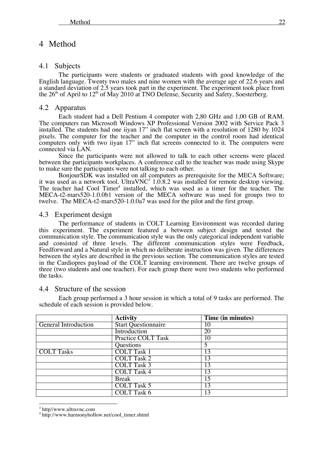# 4 Method

### 4.1 Subjects

The participants were students or graduated students with good knowledge of the English language. Twenty two males and nine women with the average age of 22.6 years and a standard deviation of 2.5 years took part in the experiment. The experiment took place from the  $26<sup>th</sup>$  of April to  $12<sup>th</sup>$  of May 2010 at TNO Defense, Security and Safety, Soesterberg.

### 4.2 Apparatus

Each student had a Dell Pentium 4 computer with 2,80 GHz and 1,00 GB of RAM. The computers ran Microsoft Windows XP Professional Version 2002 with Service Pack 3 installed. The students had one iiyan 17" inch flat screen with a resolution of 1280 by 1024 pixels. The computer for the teacher and the computer in the control room had identical computers only with two iiyan 17" inch flat screens connected to it. The computers were connected via LAN.

Since the participants were not allowed to talk to each other screens were placed between the participants workplaces. A conference call to the teacher was made using Skype to make sure the participants were not talking to each other.

BonjourSDK was installed on all computers as prerequisite for the MECA Software; it was used as a network tool. UltraVNC<sup>3</sup> 1.0.8.2 was installed for remote desktop viewing. The teacher had Cool Timer<sup>4</sup> installed, which was used as a timer for the teacher. The MECA-t2-mars520-1.0.0b1 version of the MECA software was used for groups two to twelve. The MECA-t2-mars520-1.0.0a7 was used for the pilot and the first group.

### 4.3 Experiment design

The performance of students in COLT Learning Environment was recorded during this experiment. The experiment featured a between subject design and tested the communication style. The communication style was the only categorical independent variable and consisted of three levels. The different communication styles were Feedback, Feedforward and a Natural style in which no deliberate instruction was given. The differences between the styles are described in the previous section. The communication styles are tested in the Cardiopres payload of the COLT learning environment. There are twelve groups of three (two students and one teacher). For each group there were two students who performed the tasks.

### 4.4 Structure of the session

Each group performed a 3 hour session in which a total of 9 tasks are performed. The schedule of each session is provided below.

|                      | <b>Activity</b>            | Time (in minutes) |
|----------------------|----------------------------|-------------------|
| General Introduction | <b>Start Questionnaire</b> | 10                |
|                      | Introduction               | 20                |
|                      | <b>Practice COLT Task</b>  | 10                |
|                      | Questions                  | 5                 |
| <b>COLT Tasks</b>    | <b>COLT Task 1</b>         | 13                |
|                      | <b>COLT Task 2</b>         | 13                |
|                      | <b>COLT Task 3</b>         | 13                |
|                      | <b>COLT Task 4</b>         | 13                |
|                      | <b>Break</b>               | 15                |
|                      | <b>COLT Task 5</b>         | 13                |
|                      | <b>COLT Task 6</b>         | 13                |

 $3 \text{ http://www.ultravnc.com}$ <br> $4 \text{ http://www.harmonyhollow.net/cool_timer.shtml}$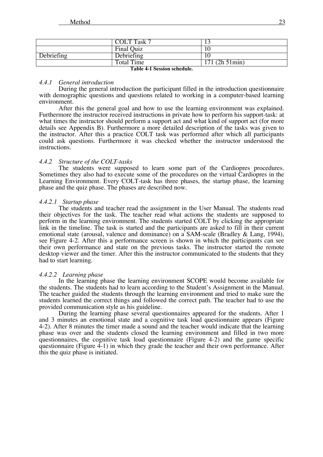|            | <b>COLT Task 7</b>                                                |                  |
|------------|-------------------------------------------------------------------|------------------|
|            | Final Quiz                                                        |                  |
| Debriefing | Debriefing                                                        |                  |
|            | Total Time<br>$\mathbf{m}$ $\mathbf{v}$ $\mathbf{u}$ $\mathbf{v}$ | $171(2h\,51min)$ |

**Table 4-1 Session schedule.**

### *4.4.1 General introduction*

During the general introduction the participant filled in the introduction questionnaire with demographic questions and questions related to working in a computer-based learning environment.

After this the general goal and how to use the learning environment was explained. Furthermore the instructor received instructions in private how to perform his support-task: at what times the instructor should perform a support act and what kind of support act (for more details see Appendix B). Furthermore a more detailed description of the tasks was given to the instructor. After this a practice COLT task was performed after which all participants could ask questions. Furthermore it was checked whether the instructor understood the instructions.

### *4.4.2 Structure of the COLT-tasks*

The students were supposed to learn some part of the Cardiopres procedures. Sometimes they also had to execute some of the procedures on the virtual Cardiopres in the Learning Environment. Every COLT-task has three phases, the startup phase, the learning phase and the quiz phase. The phases are described now.

### *4.4.2.1 Startup phase*

The students and teacher read the assignment in the User Manual. The students read their objectives for the task. The teacher read what actions the students are supposed to perform in the learning environment. The students started COLT by clicking the appropriate link in the timeline. The task is started and the participants are asked to fill in their current emotional state (arousal, valence and dominance) on a SAM-scale (Bradley & Lang, 1994), see Figure 4-2. After this a performance screen is shown in which the participants can see their own performance and state on the previous tasks. The instructor started the remote desktop viewer and the timer. After this the instructor communicated to the students that they had to start learning.

### *4.4.2.2 Learning phase*

In the learning phase the learning environment SCOPE would become available for the students. The students had to learn according to the Student's Assignment in the Manual. The teacher guided the students through the learning environment and tried to make sure the students learned the correct things and followed the correct path. The teacher had to use the provided communication style as his guideline.

During the learning phase several questionnaires appeared for the students. After 1 and 3 minutes an emotional state and a cognitive task load questionnaire appears (Figure 4-2). After 8 minutes the timer made a sound and the teacher would indicate that the learning phase was over and the students closed the learning environment and filled in two more questionnaires, the cognitive task load questionnaire (Figure 4-2) and the game specific questionnaire (Figure  $\overline{4}$ -1) in which they grade the teacher and their own performance. After this the quiz phase is initiated.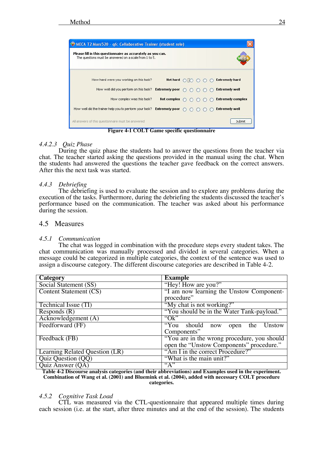| Please fill in this questionnaire as accurately as you can.<br>The questions must be answered on a scale from 1 to 5. |                    |  |  |                          |
|-----------------------------------------------------------------------------------------------------------------------|--------------------|--|--|--------------------------|
| How hard were you working on this task?                                                                               | Not hard           |  |  | <b>Extremely hard</b>    |
| How well did you perform on this task? Extremely poor                                                                 |                    |  |  | <b>Extremely well</b>    |
| How complex was this task?                                                                                            | <b>Not complex</b> |  |  | <b>Extremely complex</b> |
| How well did the trainer help you to perform your task? Extremely poor                                                |                    |  |  | <b>Extremely well</b>    |

**Figure 4-1 COLT Game specific questionnaire**

### *4.4.2.3 Quiz Phase*

During the quiz phase the students had to answer the questions from the teacher via chat. The teacher started asking the questions provided in the manual using the chat. When the students had answered the questions the teacher gave feedback on the correct answers. After this the next task was started.

### *4.4.3 Debriefing*

The debriefing is used to evaluate the session and to explore any problems during the execution of the tasks. Furthermore, during the debriefing the students discussed the teacher's performance based on the communication. The teacher was asked about his performance during the session.

### 4.5 Measures

### *4.5.1 Communication*

The chat was logged in combination with the procedure steps every student takes. The chat communication was manually processed and divided in several categories. When a message could be categorized in multiple categories, the context of the sentence was used to assign a discourse category. The different discourse categories are described in Table 4-2.

| Category                       | <b>Example</b>                              |
|--------------------------------|---------------------------------------------|
| Social Statement (SS)          | "Hey! How are you?"                         |
| Content Statement (CS)         | "I am now learning the Unstow Component-    |
|                                | procedure"                                  |
| Technical Issue (TI)           | "My chat is not working?"                   |
| Responds $(R)$                 | "You should be in the Water Tank-payload."  |
| Acknowledgement (A)            | " $Ok$ "                                    |
| Feedforward (FF)               | "You should now<br>Unstow<br>open the       |
|                                | Components"                                 |
| Feedback (FB)                  | "You are in the wrong procedure, you should |
|                                | open the "Unstow Components" procedure."    |
| Learning Related Question (LR) | "Am I in the correct Procedure?"            |
| Quiz Question (QQ)             | "What is the main unit?"                    |
| Quiz Answer $(QA)$             | $A^{\prime\prime}$                          |

**Table 4-2 Discourse analysis categories (and their abbreviations) and Examples used in the experiment. Combination of Wang et al. (2001) and Bluemink et al. (2004), added with necessary COLT procedure categories.**

### *4.5.2 Cognitive Task Load*

CTL was measured via the CTL-questionnaire that appeared multiple times during each session (i.e. at the start, after three minutes and at the end of the session). The students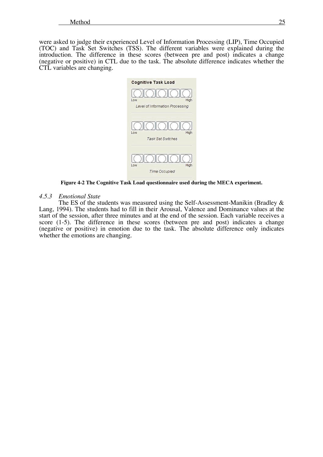were asked to judge their experienced Level of Information Processing (LIP), Time Occupied (TOC) and Task Set Switches (TSS). The different variables were explained during the introduction. The difference in these scores (between pre and post) indicates a change (negative or positive) in CTL due to the task. The absolute difference indicates whether the CTL variables are changing.



**Figure 4-2 The Cognitive Task Load questionnaire used during the MECA experiment.**

#### *4.5.3 Emotional State*

The ES of the students was measured using the Self-Assessment-Manikin (Bradley & Lang, 1994). The students had to fill in their Arousal, Valence and Dominance values at the start of the session, after three minutes and at the end of the session. Each variable receives a score (1-5). The difference in these scores (between pre and post) indicates a change (negative or positive) in emotion due to the task. The absolute difference only indicates whether the emotions are changing.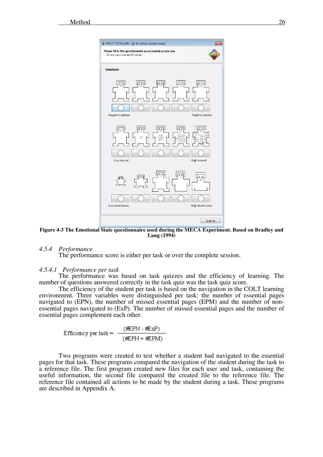

**Figure 4-3 The Emotional State questionnaire used during the MECA Experiment. Based on Bradley and Lang (1994)**

### *4.5.4 Performance*

The performance score is either per task or over the complete session.

#### *4.5.4.1 Performance per task*

The performance was based on task quizzes and the efficiency of learning. The number of questions answered correctly in the task quiz was the task quiz score.

The efficiency of the student per task is based on the navigation in the COLT learning environment. Three variables were distinguished per task: the number of essential pages navigated to (EPN), the number of missed essential pages (EPM) and the number of nonessential pages navigated to (ExP). The number of missed essential pages and the number of essential pages complement each other.

Efficiency per task = 
$$
\frac{\text{(\#PN - \#Exp)}}{\text{(\#CPN + \#FPM)}}
$$

Two programs were created to test whether a student had navigated to the essential pages for that task. These programs compared the navigation of the student during the task to a reference file. The first program created new files for each user and task, containing the useful information, the second file compared the created file to the reference file. The reference file contained all actions to be made by the student during a task. These programs are described in Appendix A.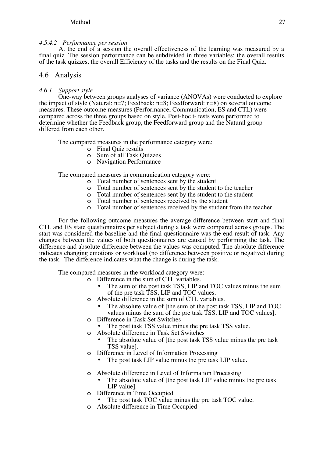#### *4.5.4.2 Performance per session*

At the end of a session the overall effectiveness of the learning was measured by a final quiz. The session performance can be subdivided in three variables: the overall results of the task quizzes, the overall Efficiency of the tasks and the results on the Final Quiz.

### 4.6 Analysis

#### *4.6.1 Support style*

One-way between groups analyses of variance (ANOVAs) were conducted to explore the impact of style (Natural: n=7; Feedback: n=8; Feedforward: n=8) on several outcome measures. These outcome measures (Performance, Communication, ES and CTL) were compared across the three groups based on style. Post-hoc t- tests were performed to determine whether the Feedback group, the Feedforward group and the Natural group differed from each other.

The compared measures in the performance category were:

- o Final Quiz results
- o Sum of all Task Quizzes
- o Navigation Performance

The compared measures in communication category were:

- o Total number of sentences sent by the student
- o Total number of sentences sent by the student to the teacher
- o Total number of sentences sent by the student to the student o Total number of sentences received by the student
- Total number of sentences received by the student
- o Total number of sentences received by the student from the teacher

For the following outcome measures the average difference between start and final CTL and ES state questionnaires per subject during a task were compared across groups. The start was considered the baseline and the final questionnaire was the end result of task. Any changes between the values of both questionnaires are caused by performing the task. The difference and absolute difference between the values was computed. The absolute difference indicates changing emotions or workload (no difference between positive or negative) during the task. The difference indicates what the change is during the task.

The compared measures in the workload category were:

- o Difference in the sum of CTL variables.
	- The sum of the post task TSS, LIP and TOC values minus the sum of the pre task TSS, LIP and TOC values.
	- o Absolute difference in the sum of CTL variables.
	- The absolute value of [the sum of the post task TSS, LIP and TOC values minus the sum of the pre task TSS, LIP and TOC values].<br>
	o Difference in Task Set Switches
	- - The post task TSS value minus the pre task TSS value.
	- o Absolute difference in Task Set Switches
		- The absolute value of [the post task TSS value minus the pre task TSS value].
	- o Difference in Level of Information Processing
		- The post task LIP value minus the pre task LIP value.
	- o Absolute difference in Level of Information Processing
		- The absolute value of [the post task LIP value minus the pre task LIP value].
	- o Difference in Time Occupied
		- The post task TOC value minus the pre task TOC value.
	- o Absolute difference in Time Occupied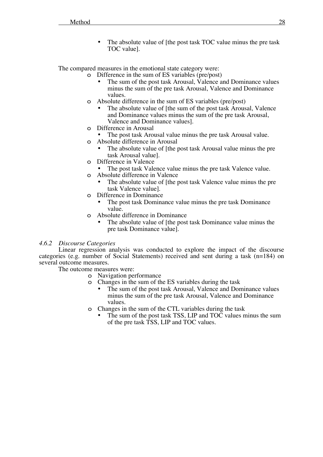The absolute value of [the post task TOC value minus the pre task TOC value].

The compared measures in the emotional state category were:

- o Difference in the sum of ES variables (pre/post)
	- The sum of the post task Arousal, Valence and Dominance values minus the sum of the pre task Arousal, Valence and Dominance values.
- o Absolute difference in the sum of ES variables (pre/post)
- The absolute value of [the sum of the post task Arousal, Valence] and Dominance values minus the sum of the pre task Arousal, Valence and Dominance values]. <sup>o</sup> Difference in Arousal
- - The post task Arousal value minus the pre task Arousal value.
- o Absolute difference in Arousal
	- The absolute value of [the post task Arousal value minus the pre task Arousal value].
- o Difference in Valence
	- The post task Valence value minus the pre task Valence value.
- o Absolute difference in Valence
	- The absolute value of [the post task Valence value minus the pre task Valence value].
- o Difference in Dominance
	- The post task Dominance value minus the pre task Dominance value.
- o Absolute difference in Dominance
	- The absolute value of [the post task Dominance value minus the pre task Dominance value].

### *4.6.2 Discourse Categories*

Linear regression analysis was conducted to explore the impact of the discourse categories (e.g. number of Social Statements) received and sent during a task  $(n=184)$  on several outcome measures.

The outcome measures were:

- o Navigation performance
- o Changes in the sum of the ES variables during the task
	- The sum of the post task Arousal, Valence and Dominance values minus the sum of the pre task Arousal, Valence and Dominance values.
- o Changes in the sum of the CTL variables during the task
	- The sum of the post task TSS, LIP and TOC values minus the sum of the pre task TSS, LIP and TOC values.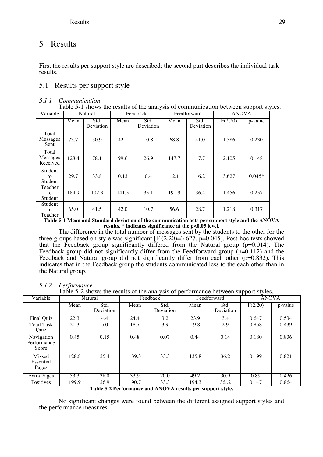# 5 Results

First the results per support style are described; the second part describes the individual task results.

# 5.1 Results per support style

### *5.1.1 Communication*

| Table 5-1 shows the results of the analysis of communication between support styles. |  |  |  |  |  |  |  |  |  |  |  |  |  |  |  |
|--------------------------------------------------------------------------------------|--|--|--|--|--|--|--|--|--|--|--|--|--|--|--|
|--------------------------------------------------------------------------------------|--|--|--|--|--|--|--|--|--|--|--|--|--|--|--|

| Variable                                 |                 | Natural                              |                        | Feedback                          |                         | Feedforward       | <b>ANOVA</b>                      |                                                             |
|------------------------------------------|-----------------|--------------------------------------|------------------------|-----------------------------------|-------------------------|-------------------|-----------------------------------|-------------------------------------------------------------|
|                                          | Mean            | Std.<br>Deviation                    | Mean                   | Std.<br>Deviation                 | Mean                    | Std.<br>Deviation | F(2,20)                           | p-value                                                     |
| Total<br>Messages<br>Sent                | 73.7            | 50.9                                 | 42.1                   | 10.8                              | 68.8                    | 41.0              | 1.586                             | 0.230                                                       |
| Total<br>Messages<br>Received            | 128.4           | 78.1                                 | 99.6                   | 26.9                              | 147.7                   | 17.7              | 2.105                             | 0.148                                                       |
| Student<br>to<br>Student                 | 29.7            | 33.8                                 | 0.13                   | 0.4                               | 12.1                    | 16.2              | 3.627                             | $0.045*$                                                    |
| Teacher<br>to<br>Student                 | 184.9           | 102.3                                | 141.5                  | 35.1                              | 191.9                   | 36.4              | 1.456                             | 0.257                                                       |
| Student<br>to<br>Teacher<br><del>.</del> | 65.0<br>- - - - | 41.5<br>$\overline{\mathbf{a}}$<br>T | 42.0<br><del>.</del> . | 10.7<br>$\mathbf{a}$ $\mathbf{r}$ | 56.6<br>$\cdot$ $\cdot$ | 28.7<br>$\sim$    | 1.218<br>$\overline{\phantom{a}}$ | 0.317<br>$\overline{1}$<br>$\overline{\mathbf{1}^{\prime}}$ |

**Table 5-1 Mean and Standard deviation of the communication acts per support style and the ANOVA results. \* indicates significance at the p<0.05 level.**

The difference in the total number of messages sent by the students to the other for the three groups based on style was significant [F  $(2,20) = 3.627$ , p=0.045]. Post-hoc tests showed that the Feedback group significantly differed from the Natural group (p=0.014). The Feedback group did not significantly differ from the Feedforward group (p=0.112) and the Feedback and Natural group did not significantly differ from each other (p=0.832). This indicates that in the Feedback group the students communicated less to the each other than in the Natural group.

### *5.1.2 Performance*

Table 5-2 shows the results of the analysis of performance between support styles.

| Variable                           |       | Natural                   |       | Feedback                                                                                                                                                                                                                                                                                                                                                                                     |                       | Feedforward                     | . .<br><b>ANOVA</b> |         |
|------------------------------------|-------|---------------------------|-------|----------------------------------------------------------------------------------------------------------------------------------------------------------------------------------------------------------------------------------------------------------------------------------------------------------------------------------------------------------------------------------------------|-----------------------|---------------------------------|---------------------|---------|
|                                    | Mean  | Std.<br>Deviation         | Mean  | Std.<br>Deviation                                                                                                                                                                                                                                                                                                                                                                            | Mean                  | Std.<br>Deviation               | F(2,20)             | p-value |
| Final Quiz                         | 22.3  | 4.4                       | 24.4  | 3.2                                                                                                                                                                                                                                                                                                                                                                                          | 23.9                  | 3.4                             | 0.647               | 0.534   |
| Total Task<br>Quiz                 | 21.3  | 5.0                       | 18.7  | 3.9                                                                                                                                                                                                                                                                                                                                                                                          | 19.8                  | 2.9                             | 0.858               | 0.439   |
| Navigation<br>Performance<br>Score | 0.45  | 0.15                      | 0.48  | 0.07                                                                                                                                                                                                                                                                                                                                                                                         | 0.44                  | 0.14                            | 0.180               | 0.836   |
| Missed<br>Essential<br>Pages       | 128.8 | 25.4                      | 139.3 | 33.3                                                                                                                                                                                                                                                                                                                                                                                         | 135.8                 | 36.2                            | 0.199               | 0.821   |
| <b>Extra Pages</b>                 | 53.3  | 38.0                      | 33.9  | 20.0                                                                                                                                                                                                                                                                                                                                                                                         | 49.2                  | 30.9                            | 0.89                | 0.426   |
| Positives                          | 199.9 | 26.9<br>$m + 1 + A n + C$ | 190.7 | 33.3<br>$\overline{1}$ $\overline{1}$ $\overline{1}$ $\overline{1}$ $\overline{1}$ $\overline{1}$ $\overline{1}$ $\overline{1}$ $\overline{1}$ $\overline{1}$ $\overline{1}$ $\overline{1}$ $\overline{1}$ $\overline{1}$ $\overline{1}$ $\overline{1}$ $\overline{1}$ $\overline{1}$ $\overline{1}$ $\overline{1}$ $\overline{1}$ $\overline{1}$ $\overline{1}$ $\overline{1}$ $\overline{$ | 194.3<br>$\mathbf{L}$ | 36.2<br>$\lambda = \lambda = 1$ | 0.147               | 0.864   |

**Table 5-2 Performance and ANOVA results per support style.**

No significant changes were found between the different assigned support styles and the performance measures.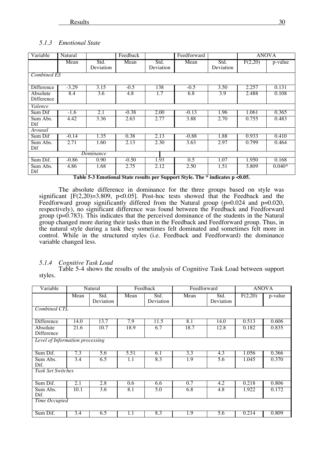#### *5.1.3 Emotional State*

| Variable               | Natural |                   | Feedback |                   | Feedforward |                   | <b>ANOVA</b> |          |
|------------------------|---------|-------------------|----------|-------------------|-------------|-------------------|--------------|----------|
|                        | Mean    | Std.<br>Deviation | Mean     | Std.<br>Deviation | Mean        | Std.<br>Deviation | F(2,20)      | p-value  |
| <b>Combined ES</b>     |         |                   |          |                   |             |                   |              |          |
| <b>Difference</b>      | $-3.29$ | 3.15              | $-0.5$   | 138               | $-0.5$      | 3.50              | 2.257        | 0.131    |
| Absolute<br>Difference | 8.4     | 3.6               | 4.8      | 1.7               | 6.8         | $\overline{3.9}$  | 2.488        | 0.108    |
| Valence                |         |                   |          |                   |             |                   |              |          |
| Sum Dif                | $-1.6$  | 2.1               | $-0.38$  | 2.00              | $-0.13$     | 1.96              | 1.061        | 0.365    |
| Sum Abs.<br>Dif        | 4.42    | 3.36              | 2.63     | 2.77              | 3.88        | 2.70              | 0.755        | 0.483    |
| Arousal                |         |                   |          |                   |             |                   |              |          |
| Sum Dif                | $-0.14$ | 1.35              | 0.38     | 2.13              | $-0.88$     | 1.88              | 0.933        | 0.410    |
| Sum Abs.<br>Dif        | 2.71    | 1.60              | 2.13     | 2.30              | 3.63        | 2.97              | 0.799        | 0.464    |
|                        |         | Dominance         |          |                   |             |                   |              |          |
| Sum Dif.               | $-0.86$ | 0.90              | $-0.50$  | 1.93              | 0.5         | 1.07              | 1.950        | 0.168    |
| Sum Abs.<br>Dif        | 4.86    | 1.68              | 2.75     | 2.12              | 2.50        | 1.51              | 3.809        | $0.040*$ |

**Table 5-3 Emotional State results per Support Style. The \* indicates p <0.05.**

The absolute difference in dominance for the three groups based on style was significant [F(2,20)=3.809, p<0.05]. Post-hoc tests showed that the Feedback and the Feedforward group significantly differed from the Natural group (p=0.024 and p=0.020, respectively), no significant difference was found between the Feedback and Feedforward group ( $p=0.783$ ). This indicates that the perceived dominance of the students in the Natural group changed more during their tasks than in the Feedback and Feedforward group. Thus, in the natural style during a task they sometimes felt dominated and sometimes felt more in control. While in the structured styles (i.e. Feedback and Feedforward) the dominance variable changed less.

### *5.1.4 Cognitive Task Load*

Table 5-4 shows the results of the analysis of Cognitive Task Load between support styles.

| Variable                        |      | Natural           |      | Feedback          | Feedforward |                   | <b>ANOVA</b> |         |
|---------------------------------|------|-------------------|------|-------------------|-------------|-------------------|--------------|---------|
|                                 | Mean | Std.<br>Deviation | Mean | Std.<br>Deviation | Mean        | Std.<br>Deviation | F(2,20)      | p-value |
| Combined CTL                    |      |                   |      |                   |             |                   |              |         |
| Difference                      | 14.0 | 13.7              | 7.9  | 11.5              | 8.1         | 14.0              | 0.513        | 0.606   |
| Absolute<br>Difference          | 21.6 | 10.7              | 18.9 | 6.7               | 18.7        | 12.8              | 0.182        | 0.835   |
| Level of Information processing |      |                   |      |                   |             |                   |              |         |
| Sum Dif.                        | 7.3  | 5.6               | 5.51 | 6.1               | 3.3         | 4.3               | 1.056        | 0.366   |
| Sum Abs.<br>Dif.                | 3.4  | 6.5               | 1.1  | 8.3               | 1.9         | 5.6               | 1.045        | 0.370   |
| <b>Task Set Switches</b>        |      |                   |      |                   |             |                   |              |         |
| Sum Dif.                        | 2.1  | 2.8               | 0.6  | 6.6               | 0.7         | 4.2               | 0.218        | 0.806   |
| Sum Abs.<br>Dif.                | 10.1 | 3.6               | 8.1  | 5.0               | 6.8         | 4.8               | 1.922        | 0.172   |
| Time Occupied                   |      |                   |      |                   |             |                   |              |         |
| Sum Dif.                        | 3.4  | 6.5               | 1.1  | 8.3               | 1.9         | 5.6               | 0.214        | 0.809   |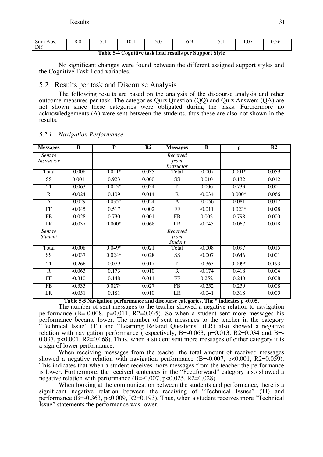| Sum |  | 10.1 |                                                         |  |  |
|-----|--|------|---------------------------------------------------------|--|--|
|     |  |      | Table 5-4 Cognitive task load results per Support Style |  |  |

No significant changes were found between the different assigned support styles and the Cognitive Task Load variables.

### 5.2 Results per task and Discourse Analysis

The following results are based on the analysis of the discourse analysis and other outcome measures per task. The categories Quiz Question (QQ) and Quiz Answers (QA) are not shown since these categories were obligated during the tasks. Furthermore no acknowledgements (A) were sent between the students, thus these are also not shown in the results.

| <b>Messages</b>           | $\overline{B}$                               | $\overline{\mathbf{P}}$ | $\overline{\mathbf{R2}}$ | <b>Messages</b>                       | $\overline{\mathbf{B}}$       | p            | $\overline{\mathbf{R2}}$ |
|---------------------------|----------------------------------------------|-------------------------|--------------------------|---------------------------------------|-------------------------------|--------------|--------------------------|
| Sent to<br>Instructor     |                                              |                         |                          | Received<br>from<br><i>Instructor</i> |                               |              |                          |
| Total                     | $-0.008$                                     | $0.011*$                | 0.035                    | Total                                 | $-0.007$                      | $0.001*$     | 0.059                    |
| SS                        | 0.001                                        | 0.923                   | 0.000                    | $\overline{\text{SS}}$                | 0.010                         | 0.132        | 0.012                    |
| TI                        | $-0.063$                                     | $0.013*$                | 0.034                    | TI                                    | 0.006                         | 0.733        | 0.001                    |
| $\overline{R}$            | $-0.024$                                     | 0.109                   | 0.014                    | $\overline{R}$                        | $-0.034$                      | $0.000*$     | 0.066                    |
| $\overline{A}$            | $-0.029$                                     | $0.035*$                | 0.024                    | $\mathsf{A}$                          | $-0.056$                      | 0.081        | 0.017                    |
| FF                        | $-0.045$                                     | 0.517                   | 0.002                    | FF                                    | $-0.011$                      | $0.023*$     | 0.028                    |
| FB                        | $-0.028$                                     | 0.730                   | 0.001                    | FB                                    | 0.002                         | 0.798        | 0.000                    |
| LR                        | $-0.037$                                     | $0.000*$                | 0.068                    | LR                                    | $-0.045$                      | 0.067        | 0.018                    |
| Sent to<br><b>Student</b> |                                              |                         |                          | Received<br>from<br><b>Student</b>    |                               |              |                          |
| Total                     | $-0.008$                                     | $0.049*$                | 0.021                    | Total                                 | $-0.008$                      | 0.097        | 0.015                    |
| SS                        | $-0.037$                                     | $0.024*$                | 0.028                    | SS                                    | $-0.007$                      | 0.646        | 0.001                    |
| TI                        | $-0.266$                                     | 0.079                   | 0.017                    | TI                                    | $-0.363$                      | $0.009*$     | 0.193                    |
| $\overline{R}$            | $-0.063$                                     | 0.173                   | 0.010                    | $\overline{R}$                        | $-0.174$                      | 0.418        | 0.004                    |
| FF                        | $-0.310$                                     | 0.148                   | 0.011                    | FF                                    | 0.252                         | 0.240        | 0.008                    |
| FB                        | $-0.335$                                     | $0.027*$                | 0.027                    | FB                                    | $-0.252$                      | 0.239        | 0.008                    |
| LR                        | $-0.051$<br>$T$ ii $F$ $\vdash$ $\mathbf{N}$ | 0.181<br>r              | 0.010<br>᠇᠇              | LR                                    | $-0.041$<br>$m \rightarrow m$ | 0.318<br>00F | 0.005                    |

#### *5.2.1 Navigation Performance*

**Table 5-5 Navigation performance and discourse categories. The \* indicates p <0.05.**

The number of sent messages to the teacher showed a negative relation to navigation performance  $(B=-0.008, p=0.011, R2=0.035)$ . So when a student sent more messages his performance became lower. The number of sent messages to the teacher in the category "Technical Issue" (TI) and "Learning Related Questions" (LR) also showed a negative relation with navigation performance (respectively, B=-0.063, p=0.013, R2=0.034 and B=-0.037, p<0.001, R2=0.068). Thus, when a student sent more messages of either category it is a sign of lower performance.

When receiving messages from the teacher the total amount of received messages showed a negative relation with navigation performance  $(B=-0.007, p<0.001, R2=0.059)$ . This indicates that when a student receives more messages from the teacher the performance is lower. Furthermore, the received sentences in the "Feedforward" category also showed a negative relation with performance (B=-0.007, p<0.025, R2=0.028).

When looking at the communication between the students and performance, there is a significant negative relation between the receiving of "Technical Issues" (TI) and performance  $(\overline{B} = 0.363, p < 0.009, R2 = 0.193)$ . Thus, when a student receives more "Technical" Issue" statements the performance was lower.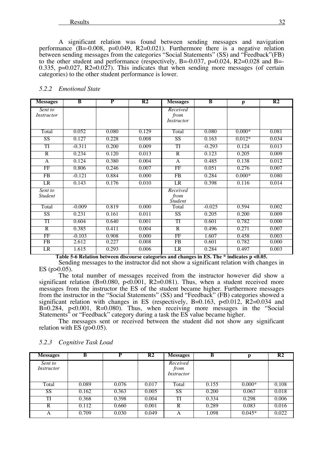A significant relation was found between sending messages and navigation performance  $(B=0.008, p=0.049, R2=0.021)$ . Furthermore there is a negative relation between sending messages from the categories "Social Statements" (SS) and "Feedback"(FB) to the other student and performance (respectively, B=-0.037, p=0.024, R2=0.028 and B=- 0.335, p=0.027, R2=0.027). This indicates that when sending more messages (of certain categories) to the other student performance is lower.

#### *5.2.2 Emotional State*

| <b>Messages</b>           | $\overline{B}$ | $\overline{\mathbf{P}}$ | $\overline{\mathbf{R2}}$ | <b>Messages</b>                    | $\overline{B}$ | p        | $\overline{\mathbf{R2}}$ |
|---------------------------|----------------|-------------------------|--------------------------|------------------------------------|----------------|----------|--------------------------|
| Sent to<br>Instructor     |                |                         |                          | Received<br>from<br>Instructor     |                |          |                          |
| Total                     | 0.052          | 0.080                   | 0.129                    | Total                              | 0.080          | $0.000*$ | 0.081                    |
| SS                        | 0.127          | 0.228                   | 0.008                    | SS                                 | 0.163          | $0.012*$ | 0.034                    |
| TI                        | $-0.311$       | 0.200                   | 0.009                    | TI                                 | $-0.293$       | 0.124    | 0.013                    |
| $\overline{R}$            | 0.234          | 0.120                   | 0.013                    | $\overline{R}$                     | 0.123          | 0.205    | 0.009                    |
| $\mathbf{A}$              | 0.124          | 0.380                   | 0.004                    | A                                  | 0.485          | 0.138    | 0.012                    |
| FF                        | 0.806          | 0.246                   | 0.007                    | FF                                 | 0.051          | 0.276    | 0.007                    |
| FB                        | $-0.121$       | 0.884                   | 0.000                    | $\overline{FB}$                    | 0.284          | $0.000*$ | 0.080                    |
| LR                        | 0.143          | 0.176                   | 0.010                    | <b>LR</b>                          | 0.398          | 0.116    | 0.014                    |
| Sent to<br><b>Student</b> |                |                         |                          | Received<br>from<br><b>Student</b> |                |          |                          |
| Total                     | $-0.009$       | 0.819                   | 0.000                    | Total                              | $-0.025$       | 0.594    | 0.002                    |
| $\overline{\text{SS}}$    | 0.231          | 0.161                   | 0.011                    | SS <sup>-</sup>                    | 0.205          | 0.200    | 0.009                    |
| TI                        | 0.604          | 0.640                   | 0.001                    | TI                                 | 0.601          | 0.782    | 0.000                    |
| $\overline{R}$            | 0.385          | 0.411                   | 0.004                    | $\overline{R}$                     | 0.496          | 0.271    | 0.007                    |
| FF                        | $-0.103$       | 0.908                   | 0.000                    | FF                                 | 1.607          | 0.458    | 0.003                    |
| FB                        | 2.612          | 0.227                   | 0.008                    | FB                                 | 0.601          | 0.782    | 0.000                    |
| LR                        | 1.615          | 0.293                   | 0.006                    | LR                                 | 0.284          | 0.497    | 0.003                    |

**Table 5-6 Relation between discourse categories and changes in ES. The \* indicates p <0.05.**

Sending messages to the instructor did not show a significant relation with changes in ES (p>0.05).

The total number of messages received from the instructor however did show a significant relation  $(B=0.080, p<0.001, R2=0.081)$ . Thus, when a student received more messages from the instructor the ES of the student became higher. Furthermore messages from the instructor in the "Social Statements" (SS) and "Feedback" (FB) categories showed a significant relation with changes in ES (respectively, B=0.163, p<0.012, R2=0.034 and B=0.284, p<0.001, R=0.080). Thus, when receiving more messages in the "Social Statements" or "Feedback" category during a task the ES value became higher.

The messages sent or received between the student did not show any significant relation with ES  $(p>0.05)$ .

| <b>Messages</b>       | в     | D     | R <sub>2</sub> | <b>Messages</b>                | B     |          | R <sub>2</sub> |
|-----------------------|-------|-------|----------------|--------------------------------|-------|----------|----------------|
| Sent to<br>Instructor |       |       |                | Received<br>from<br>Instructor |       |          |                |
| Total                 | 0.089 | 0.076 | 0.017          | Total                          | 0.155 | $0.000*$ | 0.108          |
| <b>SS</b>             | 0.162 | 0.363 | 0.005          | <b>SS</b>                      | 0.200 | 0.067    | 0.018          |
| TI                    | 0.368 | 0.398 | 0.004          | TI                             | 0.334 | 0.298    | 0.006          |
| R                     | 0.112 | 0.660 | 0.001          | R                              | 0.289 | 0.083    | 0.016          |
| А                     | 0.709 | 0.030 | 0.049          | A                              | 1.098 | $0.045*$ | 0.022          |

#### *5.2.3 Cognitive Task Load*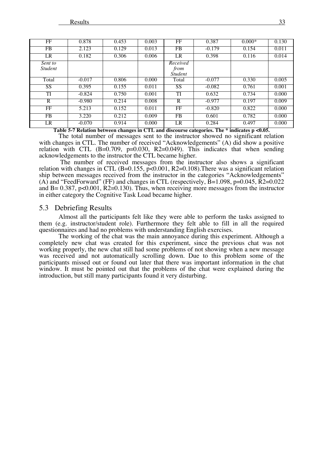| FF                        | 0.878    | 0.453 | 0.003 | FF                                 | 0.387    | $0.000*$ | 0.130 |
|---------------------------|----------|-------|-------|------------------------------------|----------|----------|-------|
| FB.                       | 2.123    | 0.129 | 0.013 | FB.                                | $-0.179$ | 0.154    | 0.011 |
| LR                        | 0.182    | 0.306 | 0.006 | LR                                 | 0.398    | 0.116    | 0.014 |
| Sent to<br><i>Student</i> |          |       |       | Received<br>from<br><b>Student</b> |          |          |       |
| Total                     | $-0.017$ | 0.806 | 0.000 | Total                              | $-0.077$ | 0.330    | 0.005 |
| SS                        | 0.395    | 0.155 | 0.011 | SS.                                | $-0.082$ | 0.761    | 0.001 |
| TI                        | $-0.824$ | 0.750 | 0.001 | TI                                 | 0.632    | 0.734    | 0.000 |
| $\mathbf R$               | $-0.980$ | 0.214 | 0.008 | $\mathbf R$                        | $-0.977$ | 0.197    | 0.009 |
| FF                        | 5.213    | 0.152 | 0.011 | FF                                 | $-0.820$ | 0.822    | 0.000 |
| FB.                       | 3.220    | 0.212 | 0.009 | FB.                                | 0.601    | 0.782    | 0.000 |
| LR                        | $-0.070$ | 0.914 | 0.000 | LR                                 | 0.284    | 0.497    | 0.000 |

**Table 5-7 Relation between changes in CTL and discourse categories. The \* indicates p <0.05.**

The total number of messages sent to the instructor showed no significant relation with changes in CTL. The number of received "Acknowledgements" (A) did show a positive relation with CTL (B=0.709, p=0.030, R2=0.049). This indicates that when sending acknowledgements to the instructor the CTL became higher.

The number of received messages from the instructor also shows a significant relation with changes in CTL  $(B=0.155, p<0.001, R2=0.108)$ . There was a significant relation ship between messages received from the instructor in the categories "Acknowledgements" (A) and "FeedForward" (FF) and changes in CTL (respectively,  $\bar{B}$ =1.098, p=0.045,  $\bar{R}$ 2=0.022 and  $B = 0.387$ , p<0.001, R2=0.130). Thus, when receiving more messages from the instructor in either category the Cognitive Task Load became higher.

### 5.3 Debriefing Results

Almost all the participants felt like they were able to perform the tasks assigned to them (e.g. instructor/student role). Furthermore they felt able to fill in all the required questionnaires and had no problems with understanding English exercises.

The working of the chat was the main annoyance during this experiment. Although a completely new chat was created for this experiment, since the previous chat was not working properly, the new chat still had some problems of not showing when a new message was received and not automatically scrolling down. Due to this problem some of the participants missed out or found out later that there was important information in the chat window. It must be pointed out that the problems of the chat were explained during the introduction, but still many participants found it very disturbing.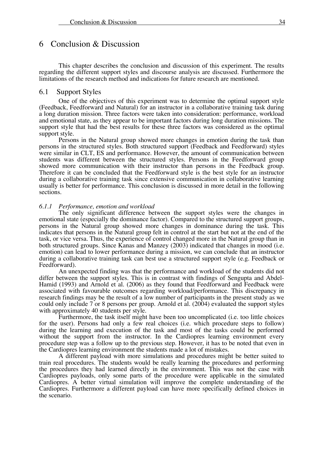# 6 Conclusion & Discussion

This chapter describes the conclusion and discussion of this experiment. The results regarding the different support styles and discourse analysis are discussed. Furthermore the limitations of the research method and indications for future research are mentioned.

### 6.1 Support Styles

One of the objectives of this experiment was to determine the optimal support style (Feedback, Feedforward and Natural) for an instructor in a collaborative training task during a long duration mission. Three factors were taken into consideration: performance, workload and emotional state, as they appear to be important factors during long duration missions. The support style that had the best results for these three factors was considered as the optimal support style.

Persons in the Natural group showed more changes in emotion during the task than persons in the structured styles. Both structured support (Feedback and Feedforward) styles were similar in CLT, ES and performance. However, the amount of communication between students was different between the structured styles. Persons in the Feedforward group showed more communication with their instructor than persons in the Feedback group. Therefore it can be concluded that the Feedforward style is the best style for an instructor during a collaborative training task since extensive communication in collaborative learning usually is better for performance. This conclusion is discussed in more detail in the following sections.

#### *6.1.1 Performance, emotion and workload*

The only significant difference between the support styles were the changes in emotional state (especially the dominance factor). Compared to the structured support groups, persons in the Natural group showed more changes in dominance during the task. This indicates that persons in the Natural group felt in control at the start but not at the end of the task, or vice versa. Thus, the experience of control changed more in the Natural group than in both structured groups. Since Kanas and Manzey (2003) indicated that changes in mood (i.e. emotion) can lead to lower performance during a mission, we can conclude that an instructor during a collaborative training task can best use a structured support style (e.g. Feedback or Feedforward).

An unexpected finding was that the performance and workload of the students did not differ between the support styles. This is in contrast with findings of Sengupta and Abdel- Hamid (1993) and Arnold et al. (2006) as they found that Feedforward and Feedback were associated with favourable outcomes regarding workload/performance. This discrepancy in research findings may be the result of a low number of participants in the present study as we could only include 7 or 8 persons per group. Arnold et al. (2004) evaluated the support styles with approximately 40 students per style.<br>Furthermore, the task itself might have been too uncomplicated (i.e. too little choices

for the user). Persons had only a few real choices (i.e. which procedure steps to follow) during the learning and execution of the task and most of the tasks could be performed without the support from the instructor. In the Cardiopres learning environment every procedure step was a follow up to the previous step. However, it has to be noted that even in the Cardiopres learning environment the students made a lot of mistakes.

A different payload with more simulations and procedures might be better suited to train real procedures. The students would be really learning the procedures and performing the procedures they had learned directly in the environment. This was not the case with Cardiopres payloads, only some parts of the procedure were applicable in the simulated Cardiopres. A better virtual simulation will improve the complete understanding of the Cardiopres. Furthermore a different payload can have more specifically defined choices in the scenario.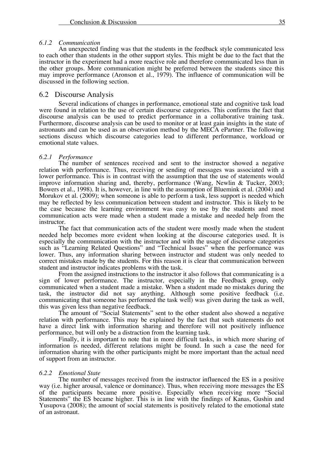#### *6.1.2 Communication*

An unexpected finding was that the students in the feedback style communicated less to each other than students in the other support styles. This might be due to the fact that the instructor in the experiment had a more reactive role and therefore communicated less than in the other groups. More communication might be preferred between the students since this may improve performance (Aronson et al., 1979). The influence of communication will be discussed in the following section.

### 6.2 Discourse Analysis

Several indications of changes in performance, emotional state and cognitive task load were found in relation to the use of certain discourse categories. This confirms the fact that discourse analysis can be used to predict performance in a collaborative training task. Furthermore, discourse analysis can be used to monitor or at least gain insights in the state of astronauts and can be used as an observation method by the MECA ePartner. The following sections discuss which discourse categories lead to different performance, workload or emotional state values.

#### *6.2.1 Performance*

The number of sentences received and sent to the instructor showed a negative relation with performance. Thus, receiving or sending of messages was associated with a lower performance. This is in contrast with the assumption that the use of statements would improve information sharing and, thereby, performance (Wang, Newlin & Tucker, 2003; Bowers et al., 1998). It is, however, in line with the assumption of Bluemink et al. (2004) and Morukov et al. (2009); when someone is able to perform a task, less support is needed which may be reflected by less communication between student and instructor. This is likely to be the case because the learning environment was easy to use by the students and most communication acts were made when a student made a mistake and needed help from the instructor.

The fact that communication acts of the student were mostly made when the student needed help becomes more evident when looking at the discourse categories used. It is especially the communication with the instructor and with the usage of discourse categories such as "Learning Related Questions" and "Technical Issues" when the performance was lower. Thus, any information sharing between instructor and student was only needed to correct mistakes made by the students. For this reason it is clear that communication between student and instructor indicates problems with the task.

From the assigned instructions to the instructor it also follows that communicating is a sign of lower performance. The instructor, especially in the Feedback group, only communicated when a student made a mistake. When a student made no mistakes during the task, the instructor did not say anything. Although some positive feedback (i.e. communicating that someone has performed the task well) was given during the task as well, this was given less than negative feedback.

The amount of "Social Statements" sent to the other student also showed a negative relation with performance. This may be explained by the fact that such statements do not have a direct link with information sharing and therefore will not positively influence performance, but will only be a distraction from the learning task.

Finally, it is important to note that in more difficult tasks, in which more sharing of information is needed, different relations might be found. In such a case the need for information sharing with the other participants might be more important than the actual need of support from an instructor.

#### *6.2.2 Emotional State*

The number of messages received from the instructor influenced the ES in a positive way (i.e. higher arousal, valence or dominance). Thus, when receiving more messages the ES of the participants became more positive. Especially when receiving more "Social Statements" the ES became higher. This is in line with the findings of Kanas, Gushin and Yusupova (2008); the amount of social statements is positively related to the emotional state of an astronaut.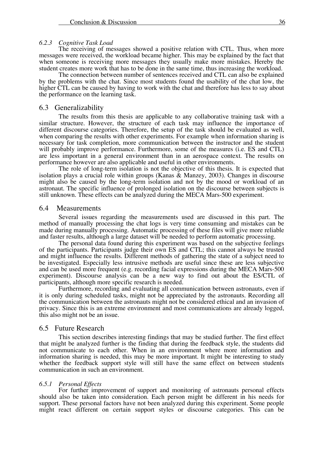#### *6.2.3 Cognitive Task Load*

The receiving of messages showed a positive relation with CTL. Thus, when more messages were received, the workload became higher. This may be explained by the fact that when someone is receiving more messages they usually make more mistakes. Hereby the student creates more work that has to be done in the same time, thus increasing the workload.

The connection between number of sentences received and CTL can also be explained by the problems with the chat. Since most students found the usability of the chat low, the higher CTL can be caused by having to work with the chat and therefore has less to say about the performance on the learning task.

#### 6.3 Generalizability

The results from this thesis are applicable to any collaborative training task with a similar structure. However, the structure of each task may influence the importance of different discourse categories. Therefore, the setup of the task should be evaluated as well, when comparing the results with other experiments. For example when information sharing is necessary for task completion, more communication between the instructor and the student will probably improve performance. Furthermore, some of the measures (i.e. ES and CTL) are less important in a general environment than in an aerospace context. The results on performance however are also applicable and useful in other environments.

The role of long-term isolation is not the objective of this thesis. It is expected that isolation plays a crucial role within groups (Kanas & Manzey, 2003). Changes in discourse might also be caused by the long-term isolation and not by the mood or workload of an astronaut. The specific influence of prolonged isolation on the discourse between subjects is still unknown. These effects can be analyzed during the MECA Mars-500 experiment.

#### 6.4 Measurements

Several issues regarding the measurements used are discussed in this part. The method of manually processing the chat logs is very time consuming and mistakes can be made during manually processing. Automatic processing of these files will give more reliable and faster results, although a large dataset will be needed to perform automatic processing.

The personal data found during this experiment was based on the subjective feelings of the participants. Participants judge their own ES and CTL; this cannot always be trusted and might influence the results. Different methods of gathering the state of a subject need to be investigated. Especially less intrusive methods are useful since these are less subjective and can be used more frequent (e.g. recording facial expressions during the MECA Mars-500 experiment). Discourse analysis can be a new way to find out about the ES/CTL of participants, although more specific research is needed.

Furthermore, recording and evaluating all communication between astronauts, even if it is only during scheduled tasks, might not be appreciated by the astronauts. Recording all the communication between the astronauts might not be considered ethical and an invasion of privacy. Since this is an extreme environment and most communications are already logged, this also might not be an issue.

#### 6.5 Future Research

This section describes interesting findings that may be studied further. The first effect that might be analyzed further is the finding that during the feedback style, the students did not communicate to each other. When in an environment where more information and information sharing is needed, this may be more important. It might be interesting to study whether the feedback support style will still have the same effect on between students communication in such an environment.

#### *6.5.1 Personal Effects*

For further improvement of support and monitoring of astronauts personal effects should also be taken into consideration. Each person might be different in his needs for support. These personal factors have not been analyzed during this experiment. Some people might react different on certain support styles or discourse categories. This can be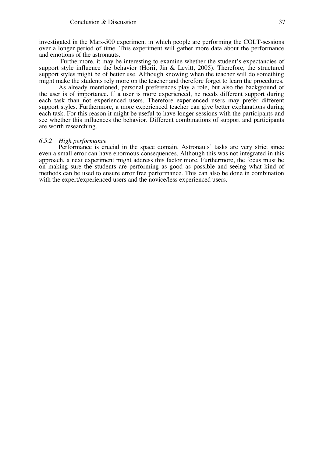investigated in the Mars-500 experiment in which people are performing the COLT-sessions over a longer period of time. This experiment will gather more data about the performance and emotions of the astronauts.

Furthermore, it may be interesting to examine whether the student's expectancies of support style influence the behavior (Horii, Jin & Levitt, 2005). Therefore, the structured support styles might be of better use. Although knowing when the teacher will do something might make the students rely more on the teacher and therefore forget to learn the procedures.

As already mentioned, personal preferences play a role, but also the background of the user is of importance. If a user is more experienced, he needs different support during each task than not experienced users. Therefore experienced users may prefer different support styles. Furthermore, a more experienced teacher can give better explanations during each task. For this reason it might be useful to have longer sessions with the participants and see whether this influences the behavior. Different combinations of support and participants are worth researching.

#### *6.5.2 High performance*

Performance is crucial in the space domain. Astronauts' tasks are very strict since even a small error can have enormous consequences. Although this was not integrated in this approach, a next experiment might address this factor more. Furthermore, the focus must be on making sure the students are performing as good as possible and seeing what kind of methods can be used to ensure error free performance. This can also be done in combination with the expert/experienced users and the novice/less experienced users.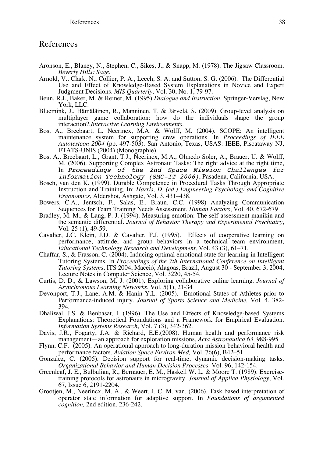# References

- Aronson, E., Blaney, N., Stephen, C., Sikes, J., & Snapp, M. (1978). The Jigsaw Classroom. *Beverly Hills: Sage.*
- Arnold, V., Clark, N., Collier, P. A., Leech, S. A. and Sutton, S. G. (2006). The Differential Use and Effect of Knowledge-Based System Explanations in Novice and Expert Judgment Decisions. *MIS Quarterly*, Vol. 30, No. 1, 79-97.
- Beun, R.J., Baker, M. & Reiner, M. (1995) *Dialogue and Instruction.* Springer-Verslag, New York, LLC.
- Bluemink, J., Hämäläinen, R., Manninen, T. & Järvelä, S. (2009). Group-level analysis on multiplayer game collaboration: how do the individuals shape the group interaction?,*Interactive Learning Environments*.
- Bos, A., Breebaart, L. Neerincx, M.A. & Wolff, M. (2004). SCOPE: An intelligent maintenance system for supporting crew operations. In *Proceedings of IEEE Autotestcon 2004* (pp. 497-503). San Antonio, Texas, USAS: IEEE, Piscataway NJ, ETATS-UNIS (2004) (Monographie).
- Bos, A., Breebaart, L., Grant, T.J., Neerincx, M.A., Olmedo Soler, A., Brauer, U. & Wolff, M. (2006). Supporting Complex Astronaut Tasks: The right advice at the right time, In Proceedings of the 2nd Space Mission Challenges for Information Technology (SMC-IT 2006), Pasadena, California, USA.
- Bosch, van den K. (1999). Durable Competence in Procedural Tasks Through Appropriate Instruction and Training. In: *Harris, D. (ed.) Engineering Psychology and Cognitive Ergonomics*, Aldershot, Ashgate, Vol. 3, 431–438.
- Bowers, C.A., Jentsch, F., Salas, E., Braun, C.C. (1998) Analyzing Communication Sequences for Team Training Needs Assessment. *Human Factors*, Vol. 40, 672-679
- Bradley, M. M., & Lang, P. J. (1994). Measuring emotion: The self-assessment manikin and the semantic differential. *Journal of Behavior Therapy and Experimental Psychiatry*, Vol. 25 (1), 49-59.
- Cavalier, J.C. Klein, J.D. & Cavalier, F.J. (1995). Effects of cooperative learning on performance, attitude, and group behaviors in a technical team environment, *Educational Technology Research and Development,* Vol. 43 (3), 61–71.
- Chaffar, S., & Frasson, C. (2004). Inducing optimal emotional state for learning in Intelligent Tutoring Systems, In *Proceedings of the 7th International Conference on Intelligent Tutoring Systems*, ITS 2004, Maceió, Alagoas, Brazil, August 30 - September 3, 2004, Lecture Notes in Computer Science, Vol. 3220, 45-54.
- Curtis, D. D., & Lawson, M. J. (2001). Exploring collaborative online learning. *Journal of Asynchronous Learning Networks*, Vol. 5(1), 21-34
- Devonport, T.J., Lane, A.M. & Hanin Y.L. (2005). Emotional States of Athletes prior to Performance-induced injury. *Journal of Sports Science and Medicine,* Vol. 4, 382- 394.
- Dhaliwal, J.S. & Benbasat, I. (1996). The Use and Effects of Knowledge-based Systems Explanations: Theoretical Foundations and a Framework for Empirical Evaluation. *Information Systems Research*, Vol. 7 (3), 342-362.
- Davis, J.R., Fogarty, J.A. & Richard, E.E.(2008). Human health and performance risk management—an approach for exploration missions, *Acta Astronautica 63,* 988-995
- Flynn, C.F. (2005). An operational approach to long-duration mission behavioral health and performance factors. *Aviation Space Environ Med,* Vol. 76(6), B42–51.
- Gonzalez, C. (2005). Decision support for real-time, dynamic decision-making tasks. *Organizational Behavior and Human Decision Processes,* Vol. 96, 142-154.
- Greenleaf, J. E., Bulbulian, R., Bernauer, E. M., Haskell W. L. & Moore T. (1989). Exercisetraining protocols for astronauts in microgravity. *Journal of Applied Physiology*, Vol. 67, Issue 6, 2191-2204. Grootjen, M., Neerincx, M. A., & Weert, J. C. M. van. (2006). Task based interpretation of
- operator state information for adaptive support. In *Foundations of argumented cognition,* 2nd edition, 236-242.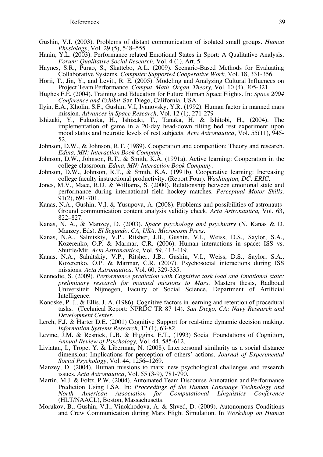- Gushin, V.I. (2003). Problems of distant communication of isolated small groups. *Human Physiology*, Vol. 29 (5), 548–555.
- Hanin, Y.L. (2003). Performance related Emotional States in Sport: A Qualitative Analysis. *Forum: Qualitative Social Research,* Vol. 4 (1), Art. 5.
- Haynes, S.R., Purao, S., Skattebo, A.L. (2009). Scenario-Based Methods for Evaluating Collaborative Systems. Computer Supported Cooperative Work, Vol. 18, 331-356.
- Horii, T., Jin, Y., and Levitt, R. E. (2005). Modeling and Analyzing Cultural Influences on Project Team Performance. *Comput. Math. Organ. Theory,* Vol. 10 (4), 305-321.
- Hughes F.E. (2004). Training and Education for Future Human Space Flights. In: *Space 2004 Conference and Exhibit,* San Diego, California, USA
- Ilyin, E.A., Kholin, S.F., Gushin, V.I, Ivanovsky, Y.R. (1992). Human factor in manned mars mission. *Advances in Space Research,* Vol. 12 (1), 271-279
- Ishizaki, Y., Fukuoka, H., Ishizaki, T., Tanaka, H. & Ishitobi, H., (2004). The implementation of game in a 20-day head-down tilting bed rest experiment upon mood status and neurotic levels of rest subjects. *Acta Astronautica*, Vol. 55(11), 945- 52.
- Johnson, D.W., & Johnson, R.T. (1989). Cooperation and competition: Theory and research. *Edina, MN: Interaction Book Company.*
- Johnson, D.W., Johnson, R.T., & Smith, K.A. (1991a). Active learning: Cooperation in the college classroom. *Edina, MN: Interaction Book Company.*
- Johnson, D.W., Johnson, R.T., & Smith, K.A. (1991b). Cooperative learning: Increasing college faculty instructional productivity. (Report Four). *Washington, DC: ERIC.*
- Jones, M.V., Mace, R.D. & Williams, S. (2000). Relationship between emotional state and performance during international field hockey matches. *Perceptual Motor Skills,*  91(2), 691-701.
- Kanas, N.A., Gushin, V.I. & Yusupova, A. (2008). Problems and possibilities of astronauts-Ground communication content analysis validity check. *Acta Astronautica,* Vol. 63, 822–827.
- Kanas, N. A., & Manzey, D. (2003). *Space psychology and psychiatry* (N. Kanas & D. Manzey, Eds). *El Segundo, CA, USA: Microcosm Press.*
- Kanas, N.A., Salnitskiy, V.P., Ritsher, J.B., Gushin, V.I., Weiss, D.S., Saylor, S.A., Kozerenko, O.P. & Marmar, C.R. (2006). Human interactions in space: ISS vs. Shuttle/Mir. *Acta Astronautica,* Vol. 59, 413-419.
- Kanas, N.A., Salnitskiy, V.P., Ritsher, J.B., Gushin, V.I., Weiss, D.S., Saylor, S.A., Kozerenko, O.P. & Marmar, C.R. (2007). Psychosocial interactions during ISS missions. *Acta Astronautica,* Vol. 60, 329-335.
- Kennedie, S. (2009). *Performance prediction with Cognitive task load and Emotional state: preliminary research for manned missions to Mars*. Masters thesis, Radboud Universiteit Nijmegen, Faculty of Social Science, Department of Artificial Intelligence.
- Konoske, P. J., & Ellis, J. A. (1986). Cognitive factors in learning and retention of procedural tasks. (Technical Report: NPRDC TR 87 14). *San Diego, CA: Navy Research and Development Center.*
- Lerch, F.J. & Harter D.E. (2001) Cognitive Support for real-time dynamic decision making. *Information Systems Research,* 12 (1), 63-82.
- Levine, J.M. & Resnick, L.B. & Higgins, E.T., (1993) Social Foundations of Cognition, *Annual Review of Psychology,* Vol. 44, 585-612.
- Liviatan, I., Trope, Y. & Liberman, N. (2008). Interpersonal similarity as a social distance dimension: Implications for perception of others' actions. *Journal of Experimental Social Psychology*, Vol. 44, 1256–1269.
- Manzey, D. (2004). Human missions to mars: new psychological challenges and research issues. *Acta Astronautica*, Vol. 55 (3-9), 781-790.
- Martin, M.J. & Foltz, P.W. (2004). Automated Team Discourse Annotation and Performance Prediction Using LSA. In: *Proceedings of the Human Language Technology and North American Association for Computational Linguistics Conference*  (HLT/NAACL), Boston, Massachusetts.
- Morukov, B., Gushin, V.I., Vinokhodova, A. & Shved, D. (2009). Autonomous Conditions and Crew Communication during Mars Flight Simulation. In *Workshop on Human*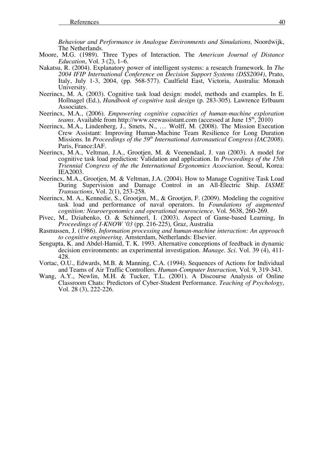*Behaviour and Performance in Analogue Environments and Simulations,* Noordwijk,

- The Netherlands. Moore, M.G. (1989). Three Types of Interaction. The *American Journal of Distance*
- *Nakatsu, R. (2004). Explanatory power of intelligent systems: a research framework. In <i>The 2004 IFIP International Conference on Decision Support Systems (DSS2004)*, Prato, Italy, July 1-3, 2004, (pp. 568-577). Caulfield East, Victoria, Australia: Monash University.
- Neerincx, M. A. (2003). Cognitive task load design: model, methods and examples. In E. Hollnagel (Ed*.*), *Handbook of cognitive task design* (p. 283-305). Lawrence Erlbaum Associates.
- Neerincx, M.A., (2006). *Empowering cognitive capacities of human-machine exploration teams.* Available from http://www.crewassistant.com (accessed at June 15<sup>th</sup>, 2010)
- Neerincx, M.A., Lindenberg, J., Smets, N., … Wolff, M. (2008). The Mission Execution Crew Assistant: Improving Human-Machine Team Resilience for Long Duration Missions. In *Proceedings of the 59<sup>th</sup> International Astronautical Congress (IAC2008)*. Paris, France:IAF.
- Neerincx, M.A., Veltman, J.A., Grootjen, M. & Veenendaal, J. van (2003). A model for cognitive task load prediction: Validation and application. In *Proceedings of the 15th Triennial Congress of the the International Ergonomics Association*. Seoul, Korea: IEA2003.
- Neerincx, M.A., Grootjen, M. & Veltman, J.A. (2004). How to Manage Cognitive Task Load During Supervision and Damage Control in an All-Electric Ship. *IASME Transactions*, Vol. 2(1), 253-258.
- Neerincx, M. A., Kennedie, S., Grootjen, M., & Grootjen, F. (2009). Modeling the cognitive task load and performance of naval operators. In *Foundations of augmented cognition: Neuroergonomics and operational neuroscience.* Vol. 5638, 260-269.
- Pivec, M., Dziabenko, O. & Schinnerl, I. (2003). Aspect of Game-based Learning, In *Proceedings of I-KNOW '03* (pp. 216-225)*,* Graz, Australia
- Rasmussen, J. (1986). *Information processing and human-machine interaction: An approach to cognitive engineering*. Amsterdam, Netherlands: Elsevier.
- Sengupta, K. and Abdel-Hamid, T. K. 1993. Alternative conceptions of feedback in dynamic decision environments: an experimental investigation. *Manage. Sci.* Vol. 39 (4), 411- 428.
- Vortac, O.U., Edwards, M.B. & Manning, C.A. (1994). Sequences of Actions for Individual and Teams of Air Traffic Controllers. *Human-Computer Interaction,* Vol. 9, 319-343.
- Wang, A.Y., Newlin, M.H. & Tucker, T.L. (2001). A Discourse Analysis of Online Classroom Chats: Predictors of Cyber-Student Performance. *Teaching of Psychology*, Vol. 28 (3), 222-226.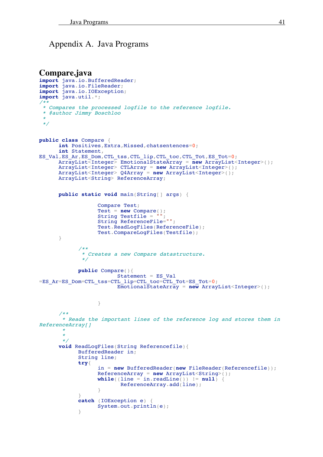# Appendix A. Java Programs

```
Compare.java
import java.io.BufferedReader;
import java.io.FileReader;
import java.io.IOException;
import java.util.*;
/**
 * Compares the processed logfile to the reference logfile.
 * @author Jimmy Boschloo
 **/
public class Compare {
      int Positives,Extra,Missed,chatsentences=0;
      int Statement,
ES_Val,ES_Ar,ES_Dom,CTL_tss,CTL_lip,CTL_toc,CTL_Tot,ES_Tot=0;
      ArrayList<Integer> EmotionalStateArray = new ArrayList<Integer>();
      ArrayList<Integer> CTLArray = new ArrayList<Integer>();
      ArrayList<Integer> Q4Array = new ArrayList<Integer>();
      ArrayList<String> ReferenceArray;
      public static void main(String[] args) {
                  Compare Test;
                  Test = new Compare();
                  String Testfile = "";
                  String ReferenceFile="";
                  Test.ReadLogFiles(ReferenceFile);
                  Test.CompareLogFiles(Testfile);
      }
            /**
             * Creates a new Compare datastructure.
             */
            public Compare(){
                        Statement = ES Val
=ES Ar=ES Dom=CTL tss=CTL lip=CTL toc=CTL Tot=ES Tot=0;
                        EmotionalStateArray = new ArrayList<Integer>();
                  }
      /**
       * Reads the important lines of the reference log and stores them in
ReferenceArray[]
       ***/
      void ReadLogFiles(String Referencefile){
            BufferedReader in;
            String line;
            try{
                  in = new BufferedReader(new FileReader(Referencefile));
                  ReferenceArray = new ArrayList<String>();
                  while ((line = in.readLine()) != null {
                         ReferenceArray.add(line);
                  }
            }
            catch (IOException e) {
                  System.out.println(e);
            }
```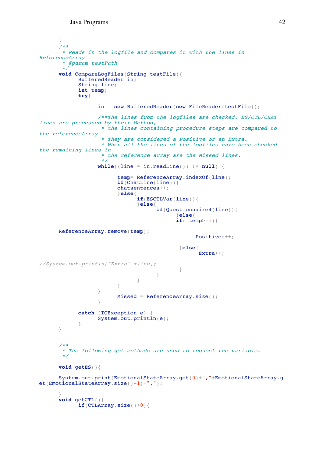```
}
       /**
       * Reads in the logfile and compares it with the lines in
ReferenceArray
       * @param testPath
       */
      void CompareLogFiles(String testFile){
            BufferedReader in;
            String line;
            int temp;
            try{
                  in = new BufferedReader(new FileReader(testFile));
                   /**The lines from the logfiles are checked. ES/CTL/CHAT
lines are processed by their Method,
                    * the lines containing procedure steps are compared to
the referenceArray
                    * They are considered a Positive or an Extra.
                    * When all the lines of the logfiles have been checked
the remaining lines in
                    * the reference array are the Missed lines.
                    */
                  while ((line = in.readLine()) != null {
                         temp= ReferenceArray.indexOf(line);
                         if(ChatLine(line)){
                        chatsentences++;
                         }else{
                               if(ESCTLVar(line)){
                               }else{
                                     if(Questionnaire4(line)){
                                            }else{
                                           if( temp>-1}{
      ReferenceArray.remove(temp);
                                                  Positives++;
                                            }else{
                                                   Extra++;
//System.out.println("Extra" +line);
                                            }
                                     }
                               }
                         }
                  }
                        Missed = ReferenceArray.size();
                   }
            catch (IOException e) {
                  System.out.println(e);
            }
      }
      /**
       * The following get-methods are used to request the variable.
       */
      void getES(){
      System.out.print(EmotionalStateArray.get(0)+","+EmotionalStateArray.g
et(EmotionalStateArray.size()-1)+",");
      }
      void getCTL(){
            if(CTLArray.size()>0){
```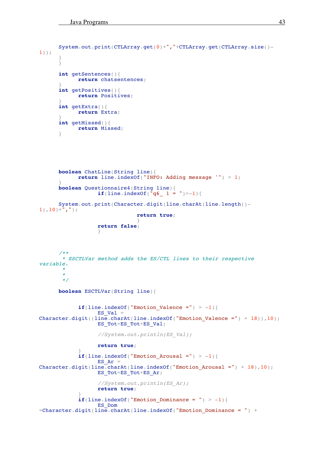```
System.out.print(CTLArray.get(0)+","+CTLArray.get(CTLArray.size()-
1));
      }
      }
      int getSentences(){
            return chatsentences;
      }
      int getPositives(){
            return Positives;
      }
      int getExtra(){
            return Extra;
      }
      int getMissed(){
            return Missed;
      }
      boolean ChatLine(String line){
            return line.indexOf("INFO: Adding message '") > 1;
      }
      boolean Questionnaire4(String line){
                  if(line.indexOf(^{\circ}q6 1 = ")>-1){
      System.out.print(Character.digit(line.charAt(line.length()-
1), 10) +",");
                               return true;
                               }
                  return false;
                  }
      /**
       * ESCTLVar method adds the ES/CTL lines to their respective
variable.
       ***/
      boolean ESCTLVar(String line){
            if(line.indexOf("Emotion Valence =") > -1){
                  ES Val =Character.digit((line.charAt(line.indexOf("Emotion Valence =") + 18)),10);
                  ES Tot=ES Tot+ES Val;
                  //System.out.println(ES_Val);
                  return true;
            }
            if(line.indexOf("Emotion Arousal =") > -1){
                  ES Ar =
Character.digit(line.charAt(line.indexOf("Emotion Arousal =") + 18),10);
                  ES_Tot=ES_Tot+ES_Ar;
                   //System.out.println(ES_Ar);
                  return true;
            }
            if(line.indexOf("Emotion Dominance = ") > -1){
                  ES_Dom
=Character.digit(line.charAt(line.indexOf("Emotion_Dominance = ") +
```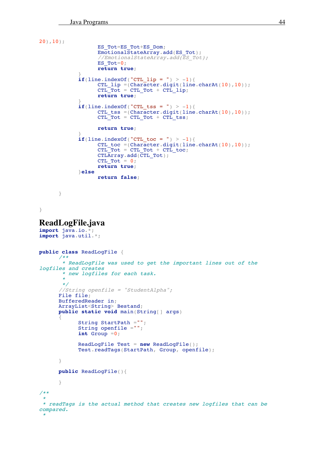```
20),10);
                  ES_Tot=ES_Tot+ES_Dom;
                  EmotionalStateArray.add(ES_Tot);
                   //EmotionalStateArray.add(ESTot);ES Tot=0;return true;
             }
            if(line.indexOf("CTL_lip = ") > -1){
                   CTL lip = (Character.digit(line chart(10),10));CTL\overline{Tot} = CTL\overline{Tot} + CTL\overline{Lip};return true;
             }
            if(line.indexOf("CTL_tss = ") > -1){
                   CTL tss =(Character.digit(line.charAt(10),10));
                   CTL<sup>-</sup>Tot = CTL Tot + CTL ts;return true;
             }
             if(line.indexOf("CTL_toc = ") > -1){
                   CTL toc =(Character.digit(line.charAt(10),10));
                  CTL_Tot = CTL_Tot + CTL_toc;CTLArray.add(CTL_Tot);
                  CTL Tot = 0;return true;
            }else
                  return false;
      }
}
ReadLogFile.java
import java.io.*;
import java.util.*;
public class ReadLogFile {
      /**
       * ReadLogFile was used to get the important lines out of the
logfiles and creates * new logfiles for each task.
       **/
      //String openfile = "StudentAlpha";
      File file;
      BufferedReader in;
      ArrayList<String> Bestand;
      public static void main(String[] args)
      {
            String StartPath ="";
            String openfile ="";
            int Group =0;
            ReadLogFile Test = new ReadLogFile();
            Test.readTags(StartPath, Group, openfile);
      }
      public ReadLogFile(){
      }
/**
 ** readTags is the actual method that creates new logfiles that can be
compared.
 *
```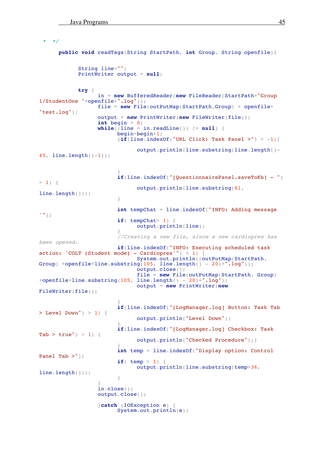```
* */
      public void readTags(String StartPath, int Group, String openfile){
            String line="";
            PrintWriter output = null;
            try {
                   in = new BufferedReader(new FileReader(StartPath+"Group
1/StudentOne "+openfile+".log"));
                  file = new File(outPutMap(StartPath,Group) + openfile+
"test.log");
                  output = new PrintWriter(new FileWriter(file));
                   int begin = 0;
                  while (line = in.readLine()) != null {
                         begin=begin+1;
                         \{if(\text{line indexOf("URL Click: Task Panel >") > -1)\}\}output.println(line.substring(line.length()-
45, line.length()-1);
                         }
                         if(line.indexOf("[QuestionnairePanel.saveToKb] - ")
> 1) {
                               output.println(line.substring(61,
line.length()));
                         }
                         int tempChat = line.indexOf("INFO: Adding message
'");
                         if( tempChat> 1) {
                               output.println(line);
                         }
                         //Creating a new file, since a new cardiopres has
been opened. if(line.indexOf("INFO: Executing scheduled task
action: 'COLT (Student mode) - Cardiopres'") > 1) {<br>System.out.println((outPutMap(StartPath,
Group) +openfile+line.substring(105, line.length() - 20)+".log"));
                               output.close();
                               file = new File(outPutMap(StartPath, Group)
+openfile+line.substring(105, line.length() - 20)+".log");
                               output = new PrintWriter(new
FileWriter(file));
                         }
                         if(line.indexOf("[LogManager.log] Button: Task Tab
> Level Down" > 1) {
                               output.println("Level Down");
                         }
                         if(line.indexOf("[LogManager.log] Checkbox: Task
Tab > true') > 1) {
                               output.println("Checked Procedure");}
                         }
                         int temp = line.indexOf("Display option: Control
Panel Tab >");
                         if( temp > 1) {
                               output.println(line.substring(temp+36,
line.length()));
                         }
                   }
                   in.close();
                  output.close();
                   }catch (IOException e) {
                         System.out.println(e);
```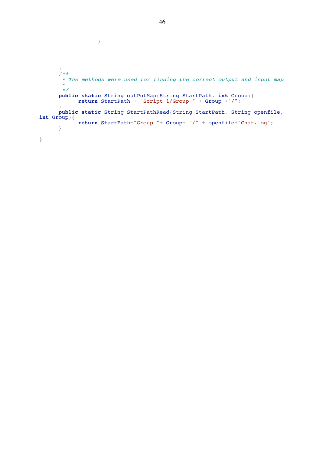```
}
      }
      /**
       * The methods were used for finding the correct output and input map
       *
*/
      public static String outPutMap(String StartPath, int Group){
            return StartPath + "Script 1/Group " + Group +"/";
      }
      public static String StartPathRead(String StartPath, String openfile,
int Group){
            return StartPath+"Group "+ Group+ "/" + openfile+"Chat.log";
      }
}
```